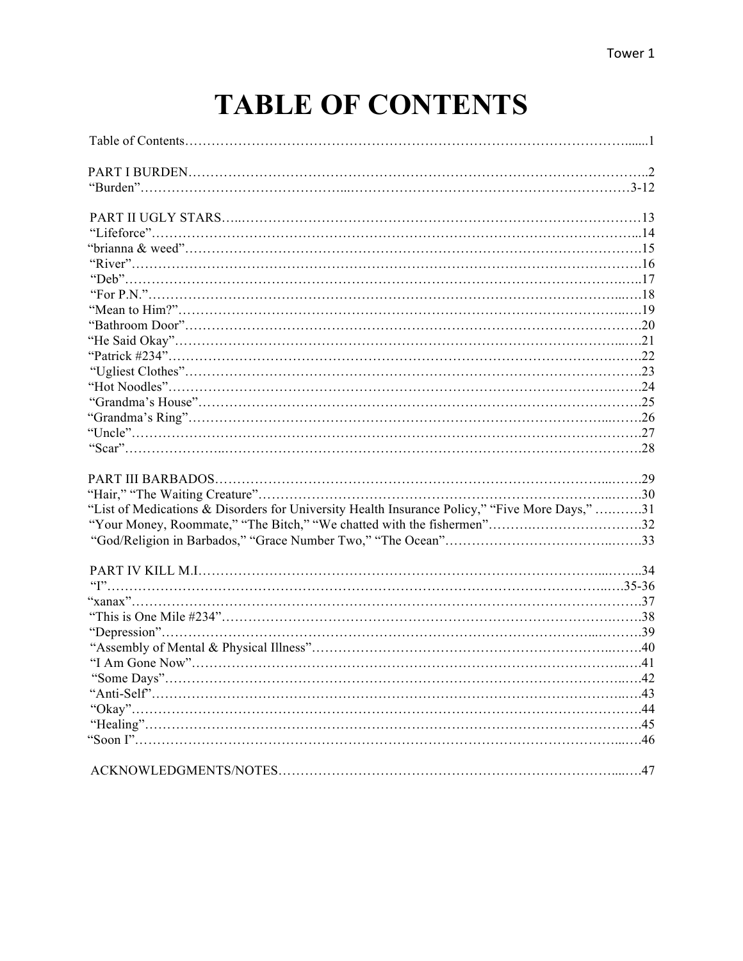# **TABLE OF CONTENTS**

| "List of Medications & Disorders for University Health Insurance Policy," "Five More Days," 31 |    |
|------------------------------------------------------------------------------------------------|----|
| "Your Money, Roommate," "The Bitch," "We chatted with the fishermen"32                         |    |
|                                                                                                |    |
|                                                                                                |    |
|                                                                                                |    |
|                                                                                                |    |
|                                                                                                |    |
|                                                                                                |    |
|                                                                                                |    |
|                                                                                                |    |
|                                                                                                |    |
| "Some Days"                                                                                    | 42 |
|                                                                                                |    |
|                                                                                                |    |
|                                                                                                |    |
|                                                                                                |    |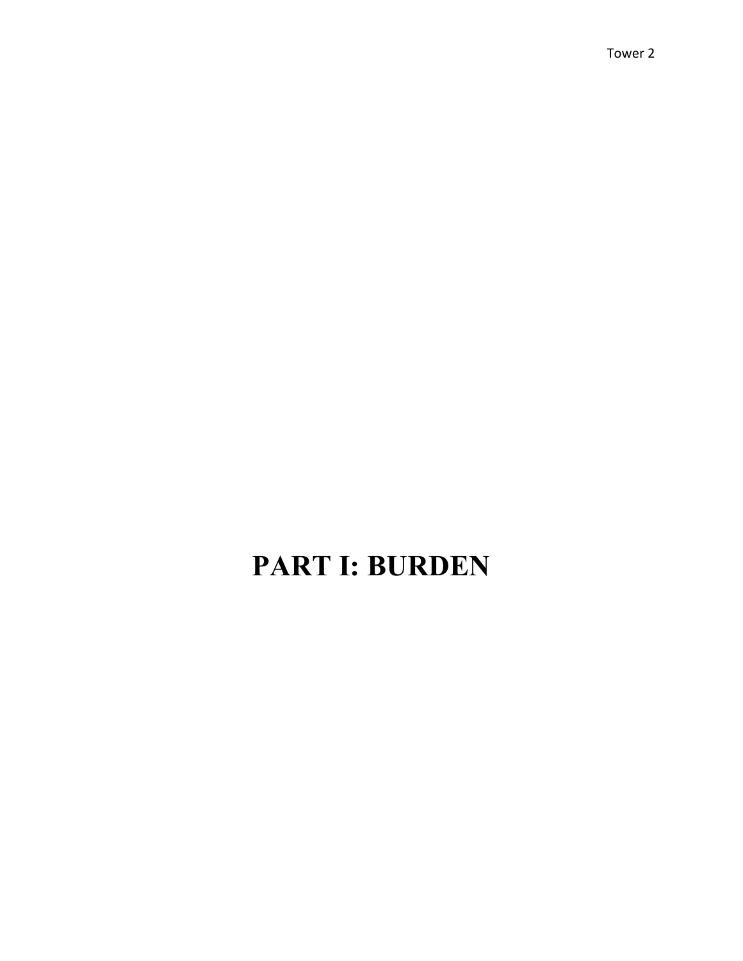## **PART I: BURDEN**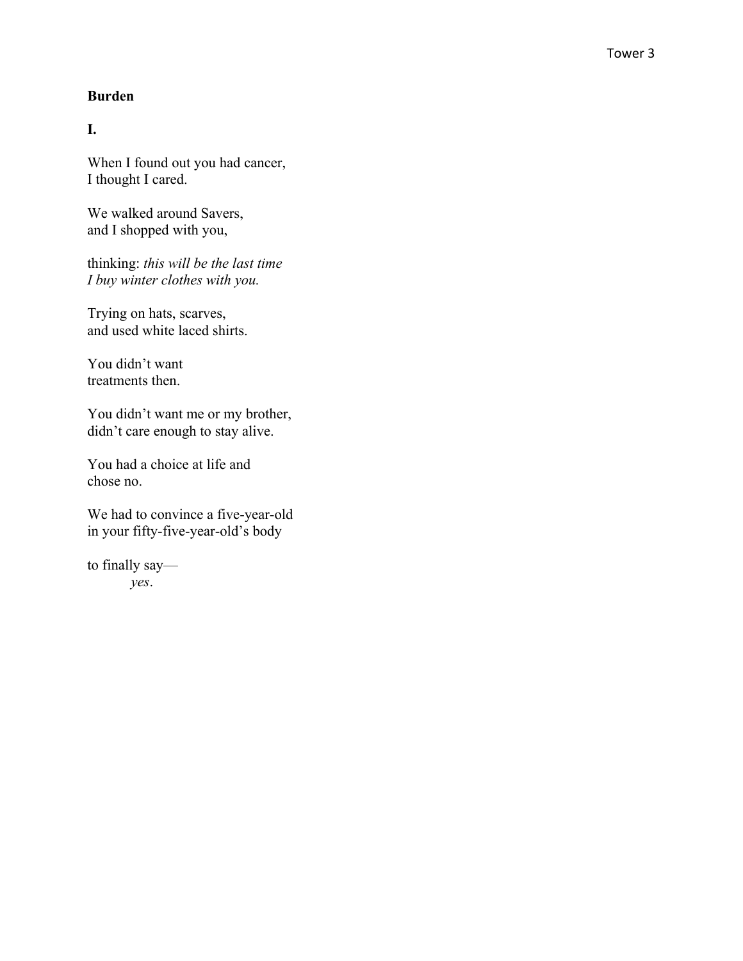#### **Burden**

**I.**

When I found out you had cancer, I thought I cared.

We walked around Savers , and I shopped with you ,

thinking : *this will be the last time I buy winter clothes with you .*

Trying on hats, scarves, and used white laced shirts.

You didn't want treatments then.

You didn't want me or my brother, didn't care enough to stay alive.

You had a choice at life and chose no.

We had to convince a five-year-old in your fifty -five -year -old's body

to finally say *yes* .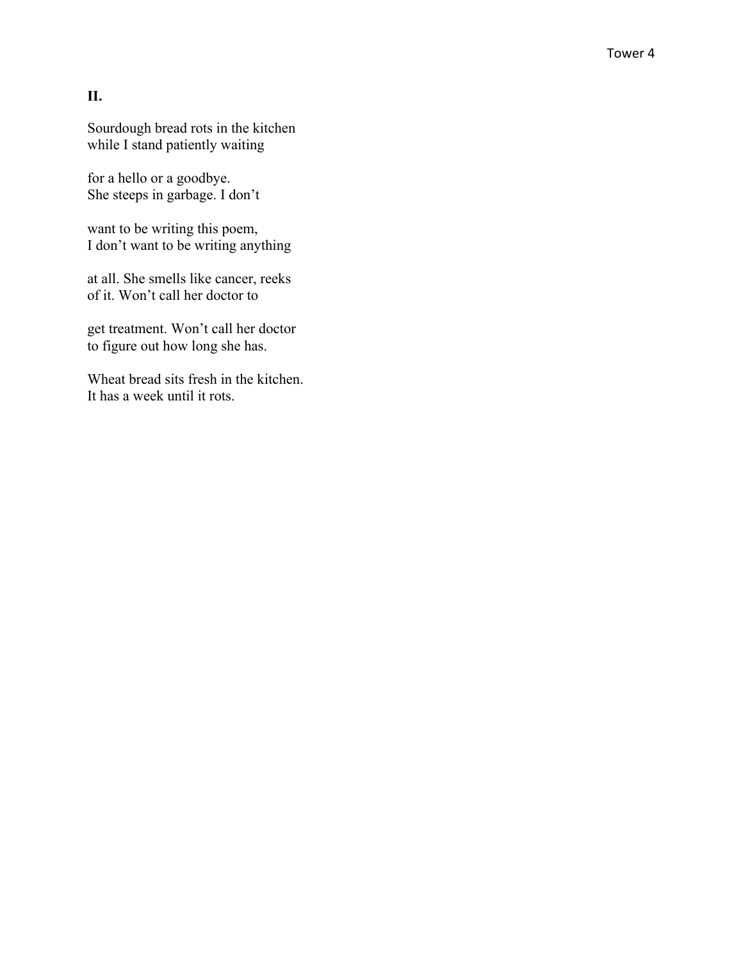### **II.**

Sourdough bread rots in the kitchen while I stand patiently waiting

for a hello or a goodbye. She steeps in garbage. I don't

want to be writing this poem, I don't want to be writing anything

at all. She smells like cancer, reeks of it. Won't call her doctor to

get treatment. Won't call her doctor to figure out how long she has.

Wheat bread sits fresh in the kitchen. It has a week until it rots.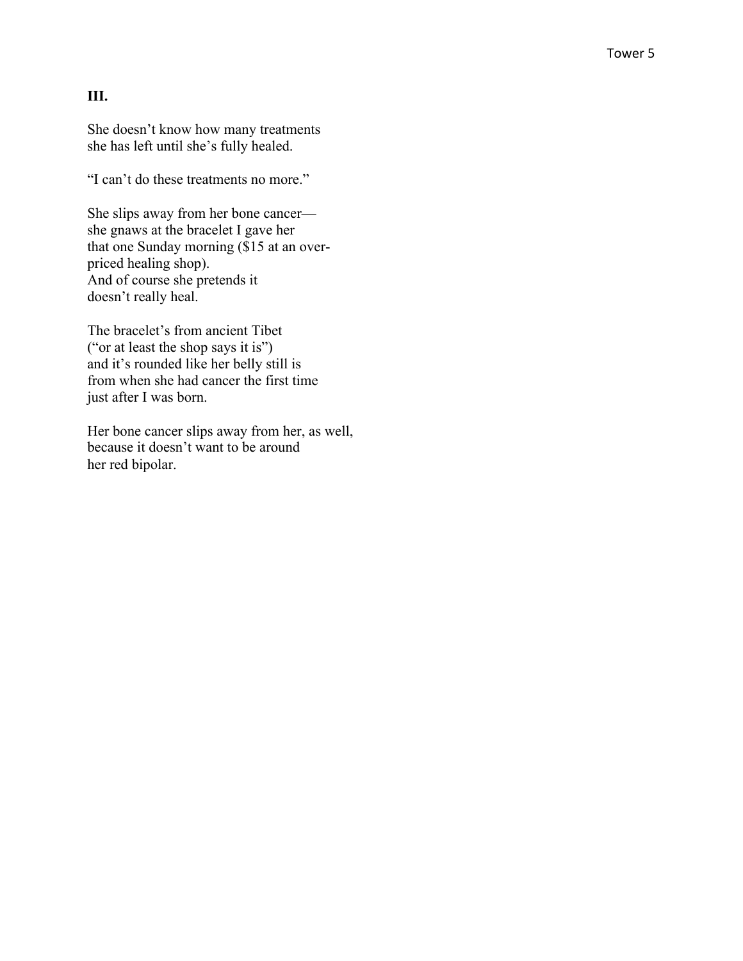#### **III.**

She doesn't know how many treatments she has left until she's fully healed.

"I can't do these treatments no more."

She slips away from her bone cancer she gnaws at the bracelet I gave her that one Sunday morning (\$15 at an over priced healing shop ) . And of course she pretends it doesn't really heal.

The bracelet's from ancient Tibet ("or at least the shop says it is") and it's rounded like her belly still is from when she had cancer the first time just after I was born.

Her bone cancer slips away from her, as well, because it doesn't want to be around her red bipolar.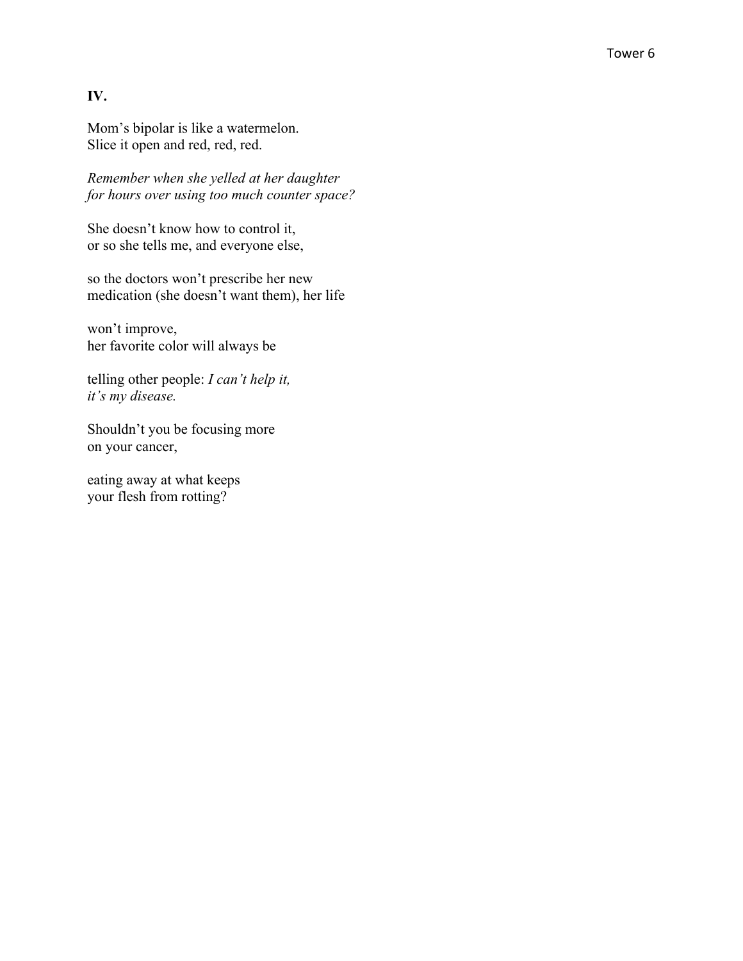### **IV.**

Mom's bipolar is like a watermelon. Slice it open and red, red, red.

*Remember when she yelled at her daughter for hours over using too much counter space?*

She doesn't know how to control it, or so she tells me, and everyone else,

so the doctors won't prescribe her new medication (she doesn't want them), her life

won't improve, her favorite color will always be

telling other people: *I can't help it, it's my disease.*

Shouldn't you be focusing more on your cancer,

eating away at what keeps your flesh from rotting?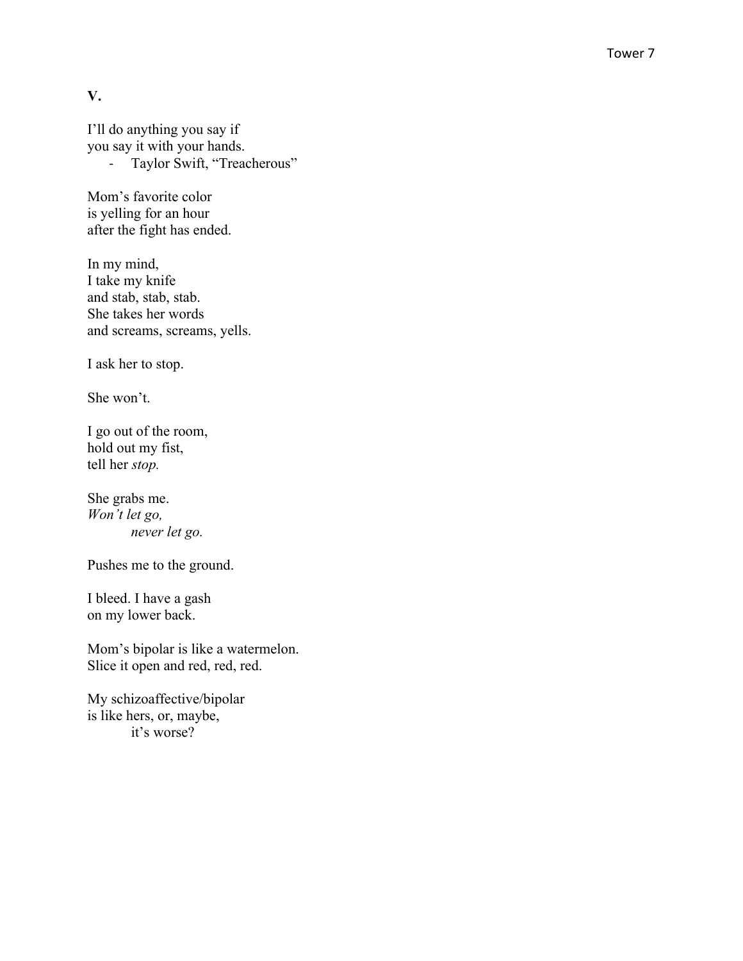**V.**

I'll do anything you say if you say it with your hands. - Taylor Swift, "Treacherous"

Mom's favorite color is yelling for an hour after the fight has ended.

In my mind, I take my knife and stab, stab, stab. She takes her words and screams, screams, yells.

I ask her to stop.

She won't.

I go out of the room, hold out my fist, tell her *stop .*

She grabs me . *Won't let go , never let go .*

Pushes me to the ground.

I bleed. I have a gash on my lower back.

Mom's bipolar is like a watermelon. Slice it open and red, red, red.

My schizoaffective/bipolar is like hers, or, maybe, it's worse?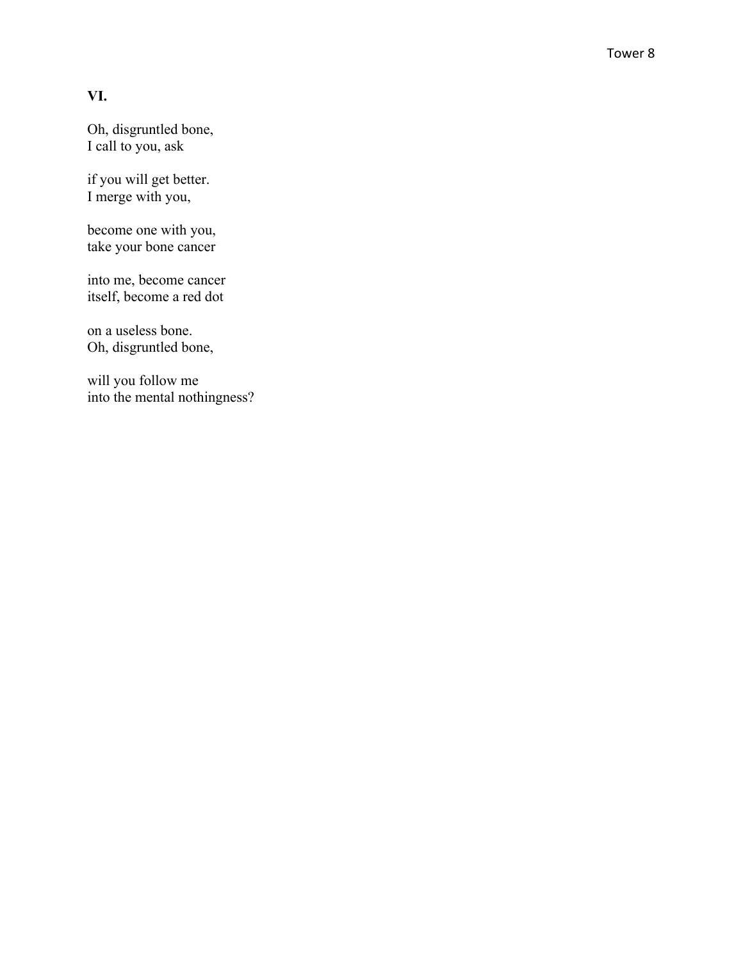## **VI.**

Oh, disgruntled bone , I call to you, ask

if you will get better. I merge with you,

become one with you, take your bone cancer

into me, become cancer itself, become a red dot

on a useless bone. Oh, disgruntled bone,

will you follow me into the mental nothingness ?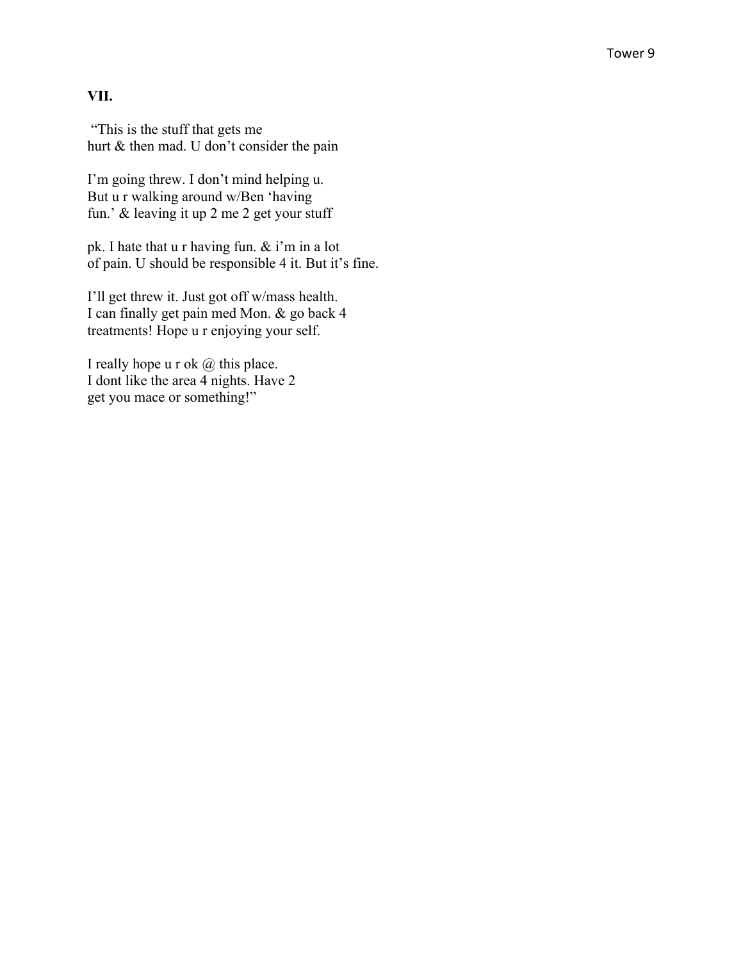#### **VII.**

"This is the stuff that gets me hurt & then mad. U don't consider the pain

I'm going threw. I don't mind helping u. But u r walking around w/Ben 'having fun.' & leaving it up 2 me 2 get your stuff

pk. I hate that u r having fun. & i'm in a lot of pain. U should be responsible 4 it. But it's fine.

I'll get threw it. Just got off w/mass health. I can finally get pain med Mon. & go back 4 treatments! Hope u r enjoying your self.

I really hope u r ok  $\omega$  this place. I dont like the area 4 nights. Have 2 get you mace or something!"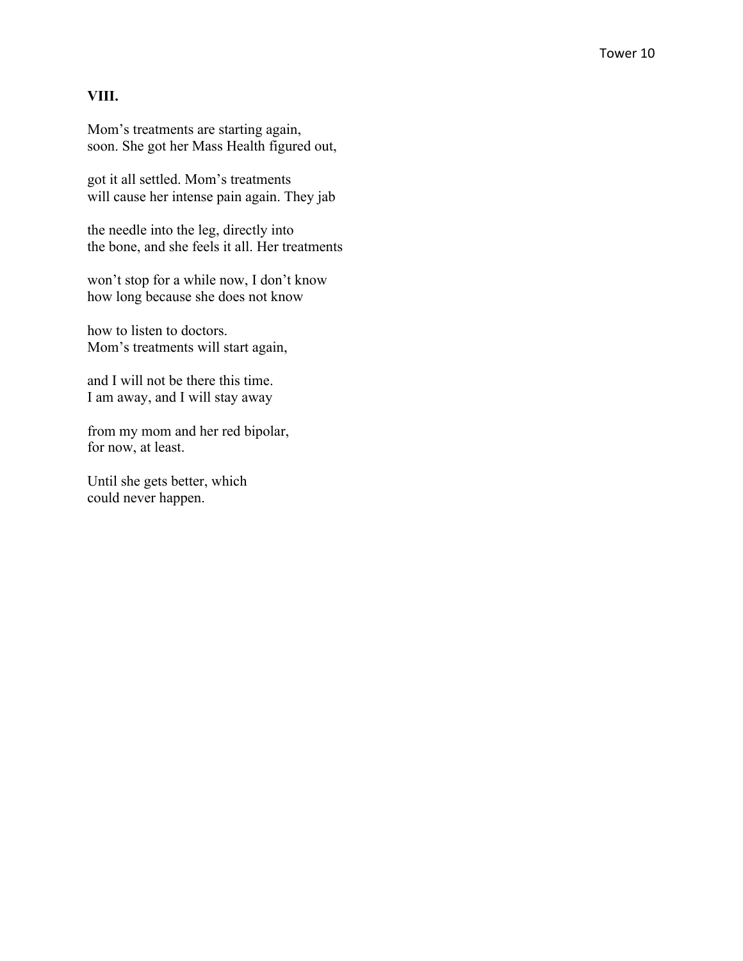#### **VIII.**

Mom's treatments are starting again, soon. She got her Mass Health figured out,

got it all settled. Mom's treatments will cause her intense pain again. They jab

the needle into the leg, directly into the bone, and she feels it all. Her treatments

won't stop for a while now, I don't know how long because she does not know

how to listen to doctors. Mom's treatments will start again,

and I will not be there this time. I am away, and I will stay away

from my mom and her red bipolar, for now, at least.

Until she gets better, which could never happen.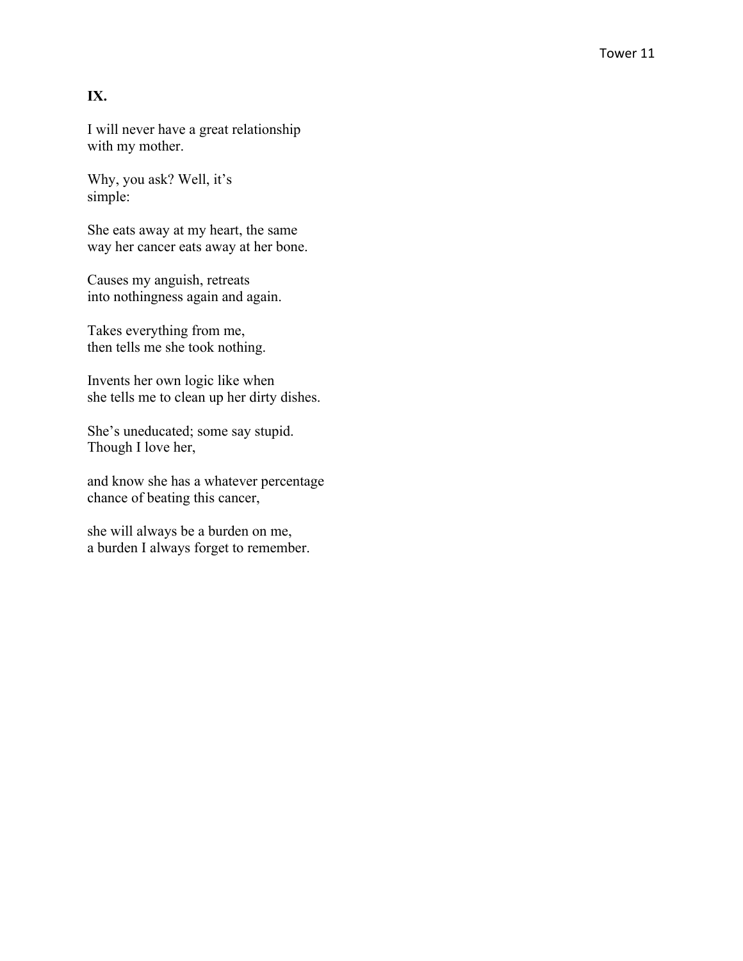## **IX.**

I will never have a great relationship with my mother.

Why, you ask? Well, it's simple:

She eats away at my heart, the same way her cancer eats away at her bone.

Causes my anguish, retreats into nothingness again and again.

Takes everything from me, then tells me she took nothing.

Invents her own logic like when she tells me to clean up her dirty dishes.

She's uneducated; some say stupid. Though I love her ,

and know she has a whatever percentage chance of beating this cancer,

she will always be a burden on me, a burden I always forget to remember.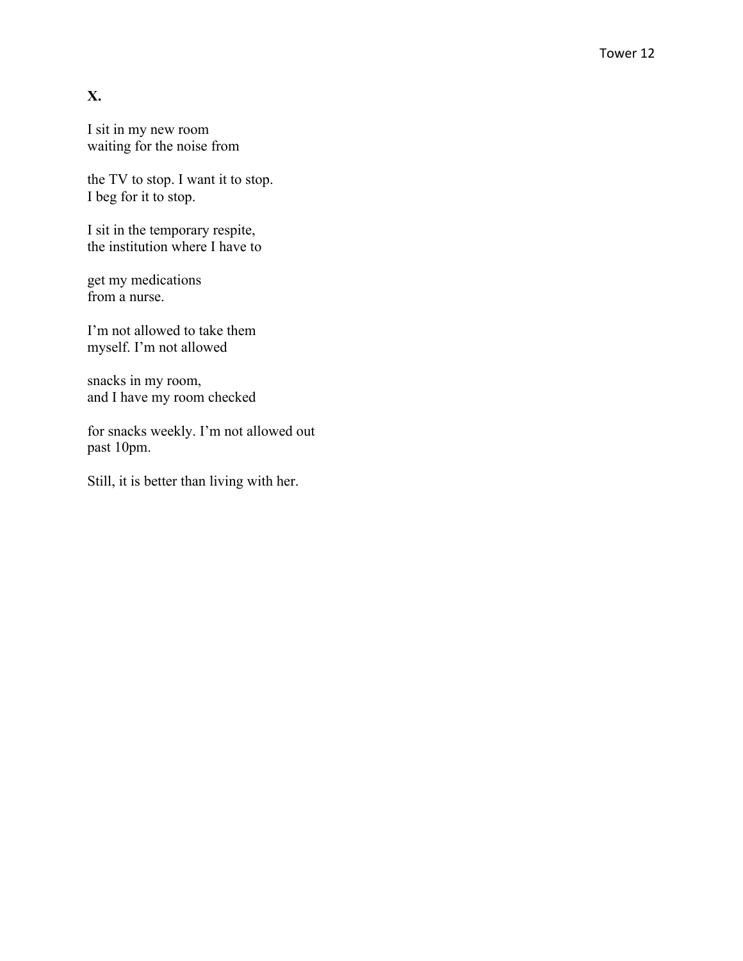## **X.**

I sit in my new room waiting for the noise from

the TV to stop. I want it to stop. I beg for it to stop.

I sit in the temporary respite, the institution where I have to

get my medications from a nurse.

I'm not allowed to take them myself. I'm not allowed

snacks in my room, and I have my room checked

for snacks weekly. I'm not allowed out past 10pm.

Still, it is better than living with her.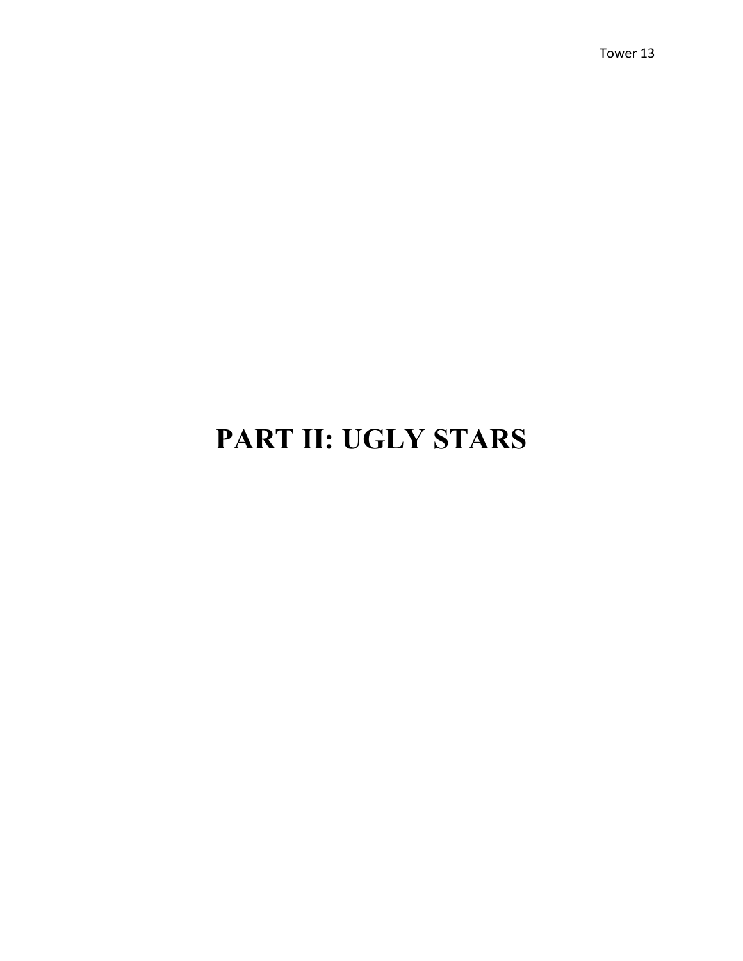## **PART II: UGLY STARS**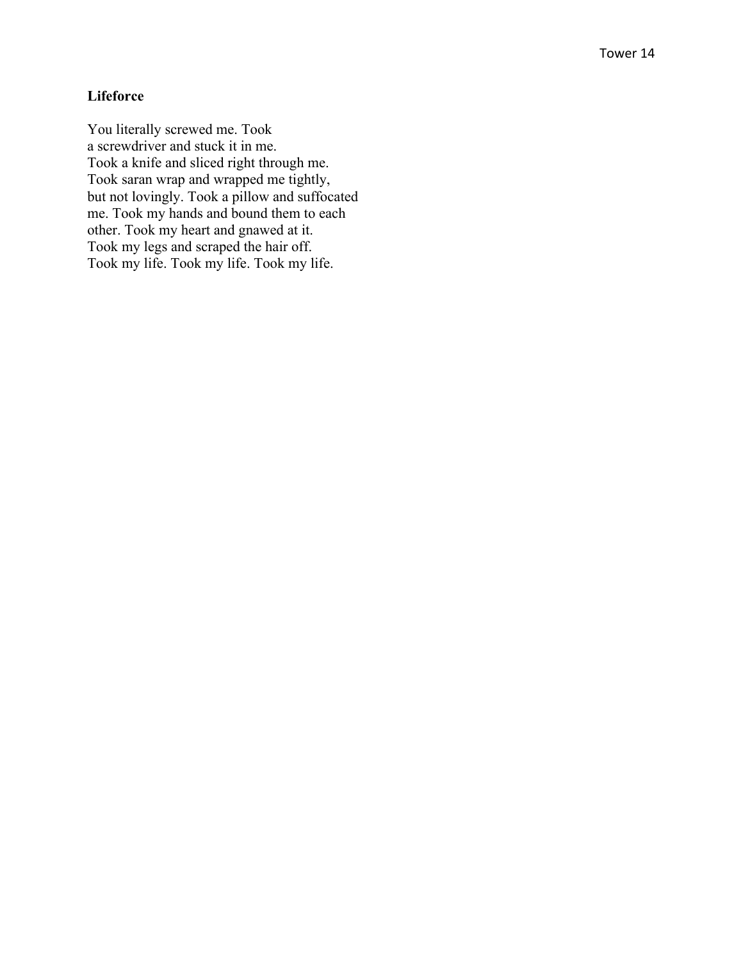## **Lifeforce**

You literally screwed me. Took a screwdriver and stuck it in me. Took a knife and sliced right through me. Took saran wrap and wrapped me tightly, but not lovingly. Took a pillow and suffocated me. Took my hands and bound them to each other. Took my heart and gnawed at it. Took my legs and scraped the hair off. Took my life. Took my life. Took my life.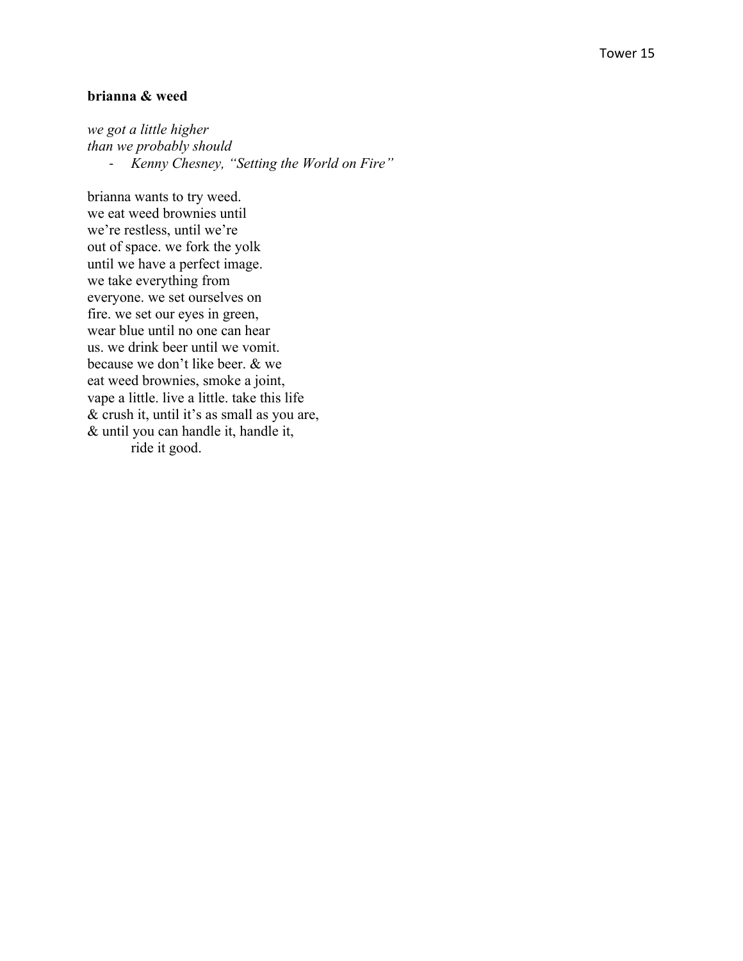#### **brianna & weed**

*we got a little higher than we probably should* - *Kenny Chesney, "Setting the World on Fire"*

brianna wants to try weed. we eat weed brownies until we're restless, until we're out of space. we fork the yolk until we have a perfect image. we take everything from everyone. we set ourselves on fire. we set our eyes in green, wear blue until no one can hear us. we drink beer until we vomit. because we don't like beer. & we eat weed brownies, smoke a joint, vape a little. live a little. take this life & crush it, until it's as small as you are, & until you can handle it, handle it, ride it good.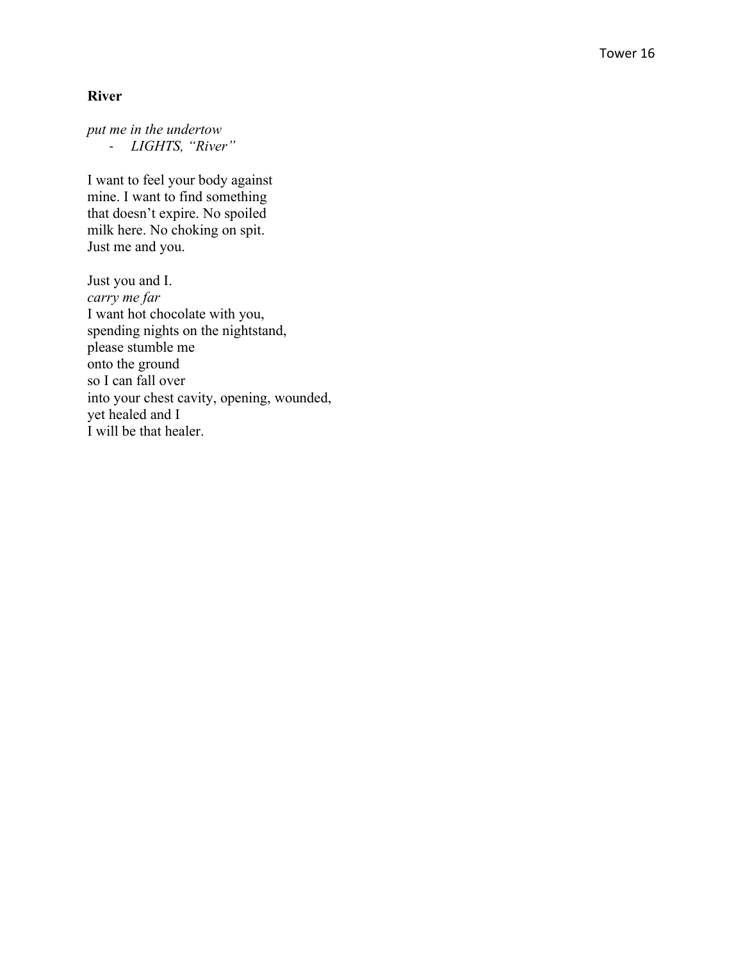#### **River**

*put me in the undertow* - *LIGHTS, "River"*

I want to feel your body against mine. I want to find something that doesn't expire. No spoiled milk here. No choking on spit. Just me and you.

Just you and I. *carry me far* I want hot chocolate with you, spending nights on the nightstand, please stumble me onto the ground so I can fall over into your chest cavity, opening, wounded, yet healed and I I will be that healer.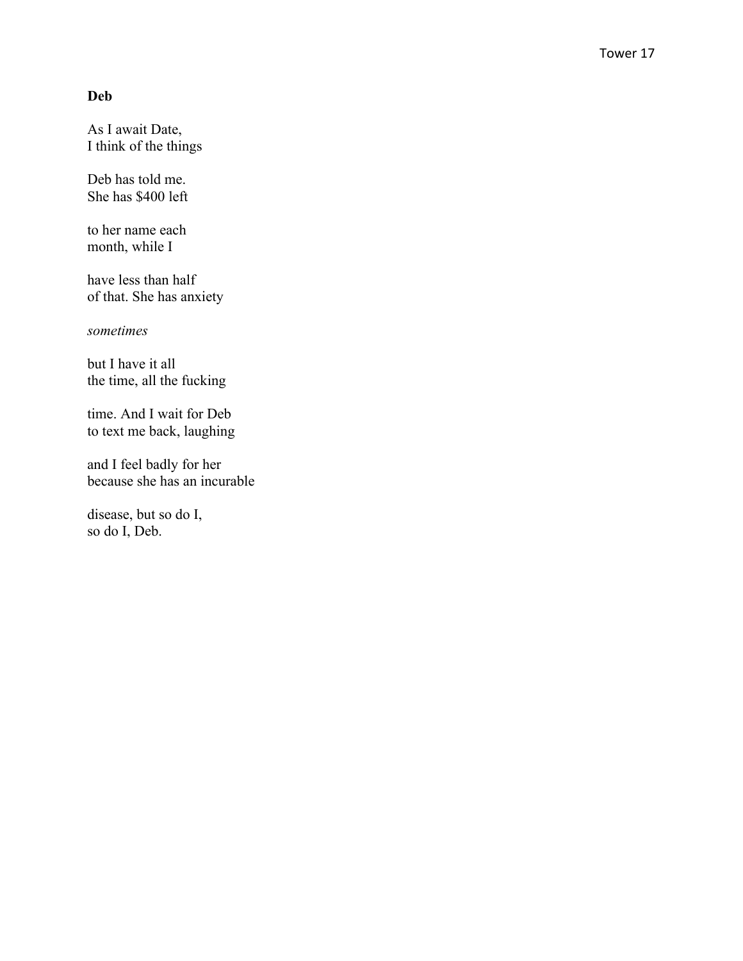## **Deb**

As I await Date , I think of the things

Deb has told me. She has \$400 left

to her name each month, while I

have less than half of that. She has anxiety

*sometimes*

but I have it all the time, all the fucking

time. And I wait for Deb to text me back, laughing

and I feel badly for her because she has an incurable

disease, but so do I, so do I, Deb.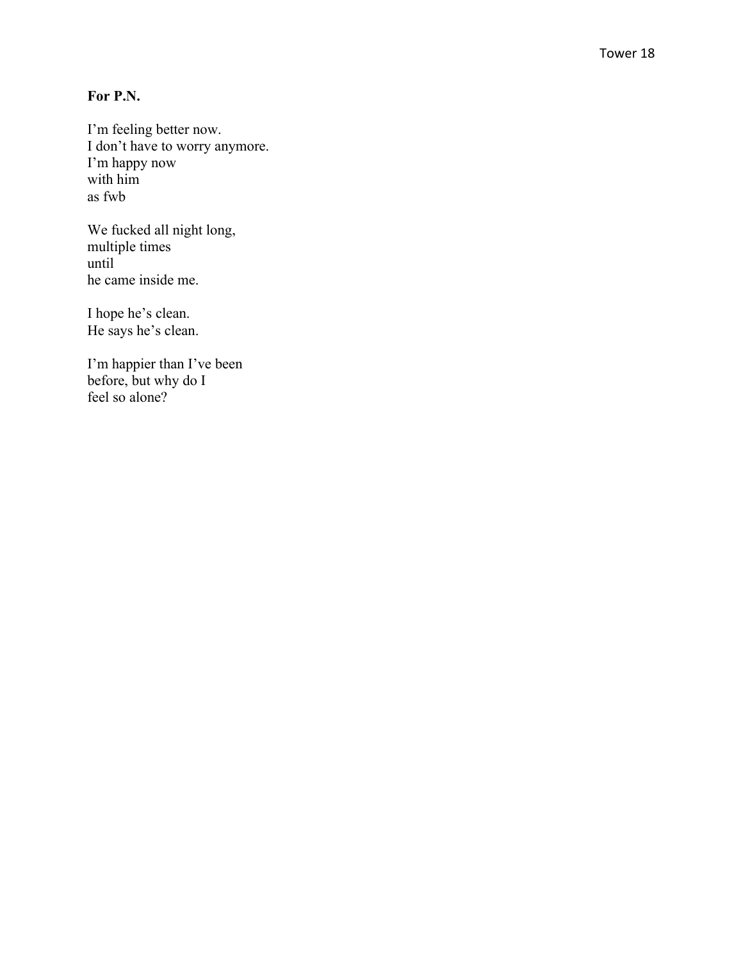## **For P.N.**

I'm feeling better now. I don't have to worry anymore. I'm happy now with him as fwb

We fucked all night long, multiple times until he came inside me.

I hope he's clean. He says he's clean.

I'm happier than I've been before, but why do I feel so alone?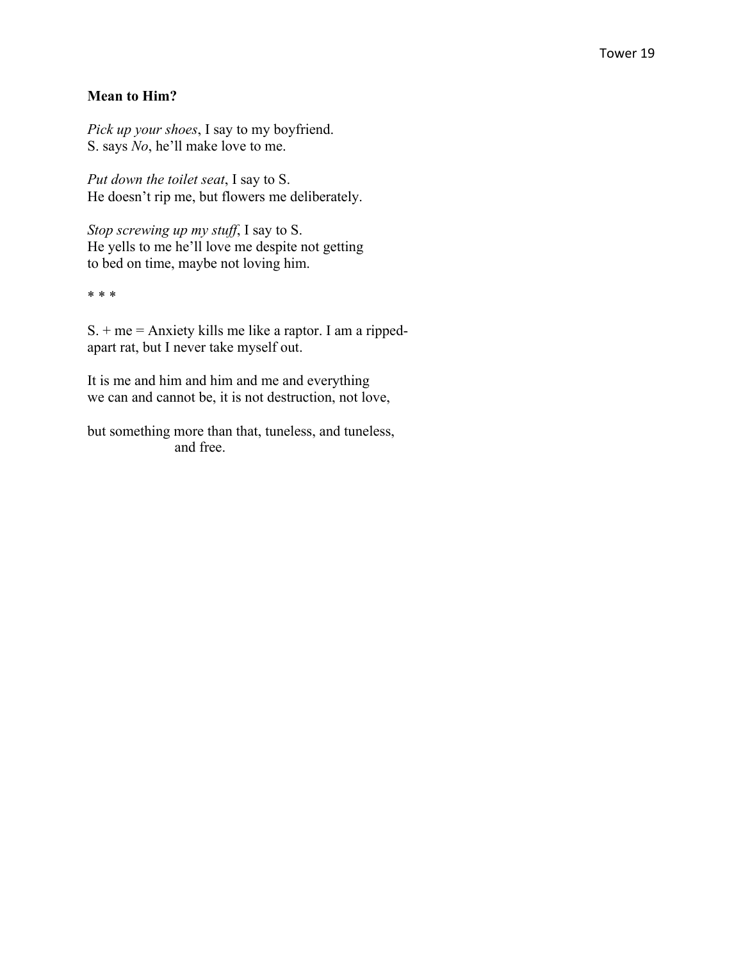#### **Mean to Him?**

*Pick up your shoes*, I say to my boyfriend. S. says *No*, he'll make love to me.

*Put down the toilet seat*, I say to S. He doesn't rip me, but flowers me deliberately.

*Stop screwing up my stuff*, I say to S. He yells to me he'll love me despite not getting to bed on time, maybe not loving him.

\* \* \*

 $S<sub>1</sub> + me = Anxiety$  kills me like a raptor. I am a rippedapart rat, but I never take myself out.

It is me and him and him and me and everything we can and cannot be, it is not destruction, not love,

but something more than that, tuneless, and tuneless, and free.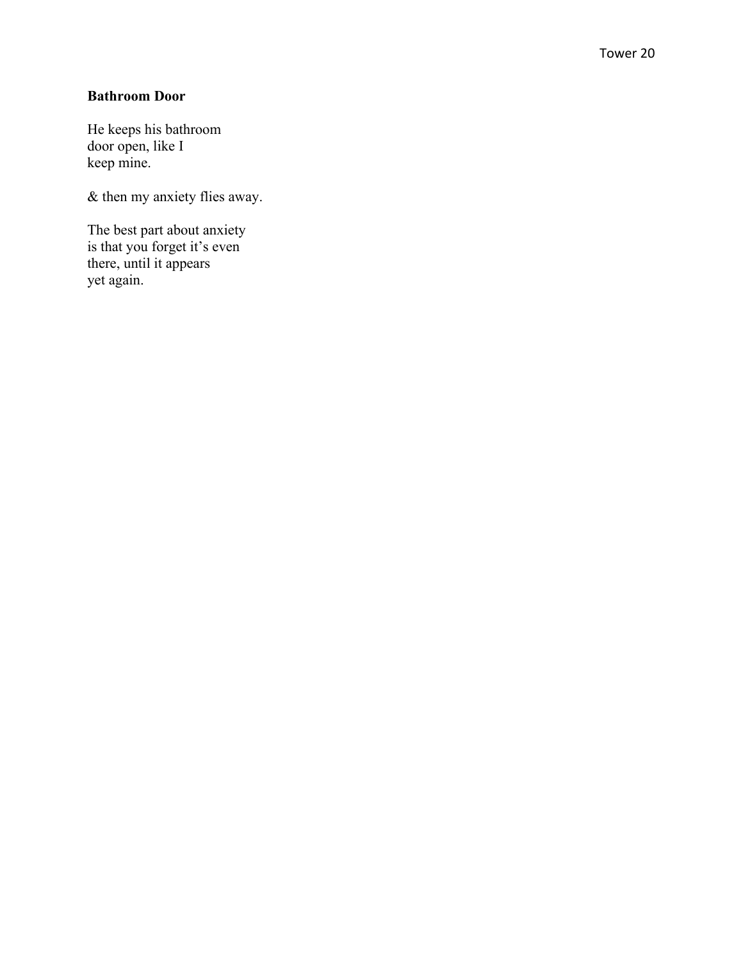### **Bathroom Door**

He keeps his bathroom door open, like I keep mine.

& then my anxiety flies away.

The best part about anxiety is that you forget it's even there, until it appears yet again.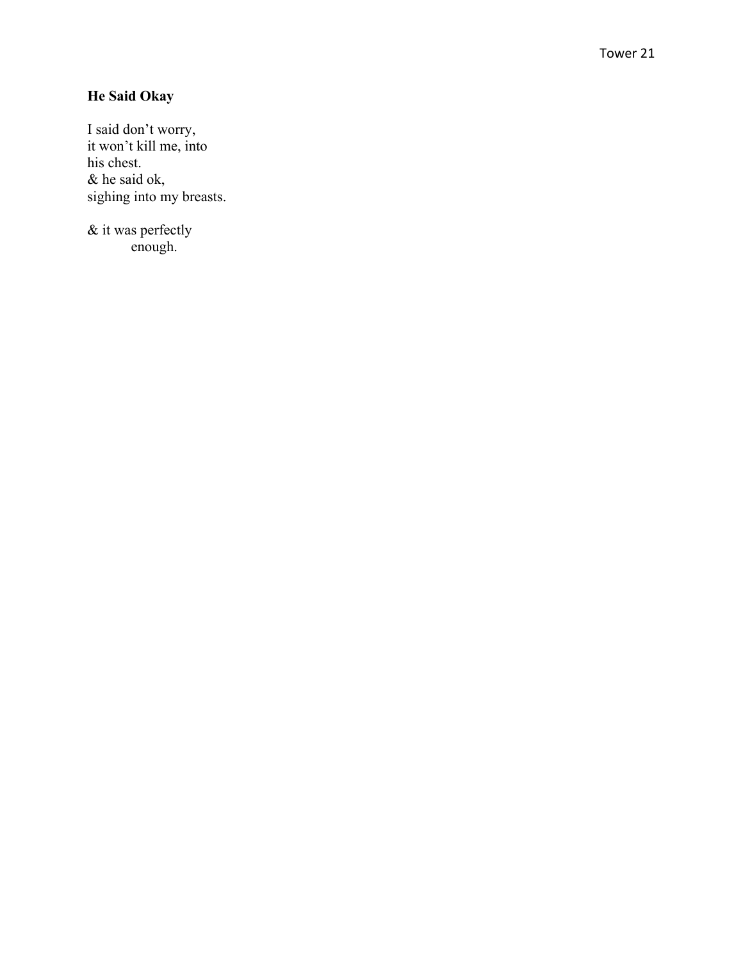## **He Said Okay**

I said don't worry, it won't kill me, into his chest. & he said ok, sighing into my breasts.

& it was perfectly enough.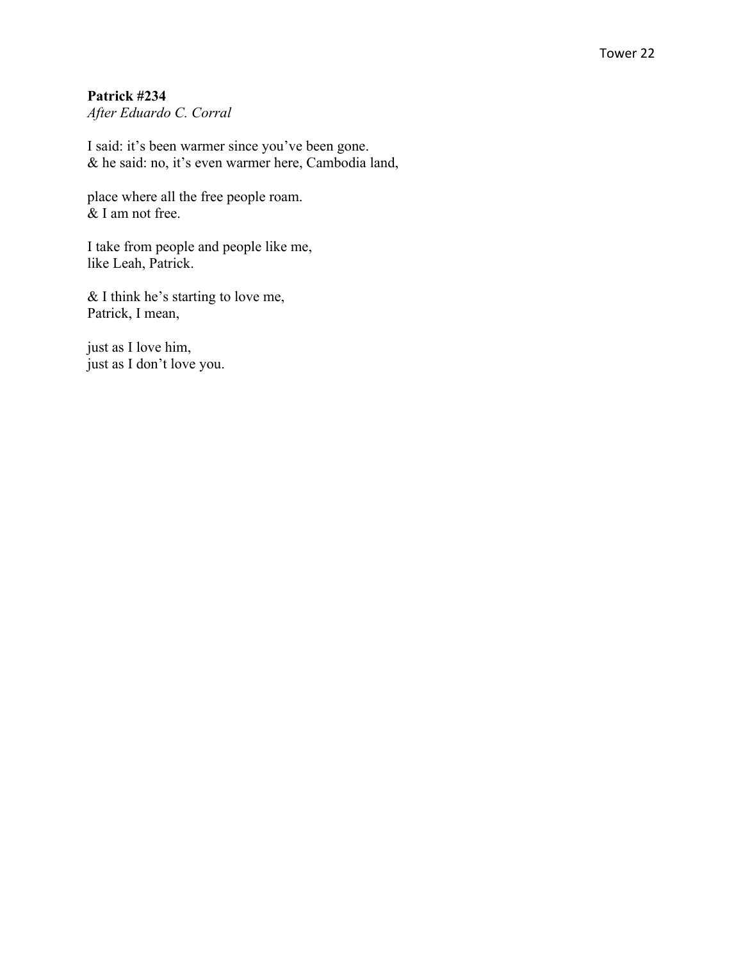#### Tower 22

### **Patrick #234**

*After Eduardo C. Corral*

I said: it's been warmer since you've been gone. & he said: no, it's even warmer here, Cambodia land,

place where all the free people roam. & I am not free.

I take from people and people like me, like Leah, Patrick.

& I think he's starting to love me, Patrick, I mean,

just as I love him, just as I don't love you.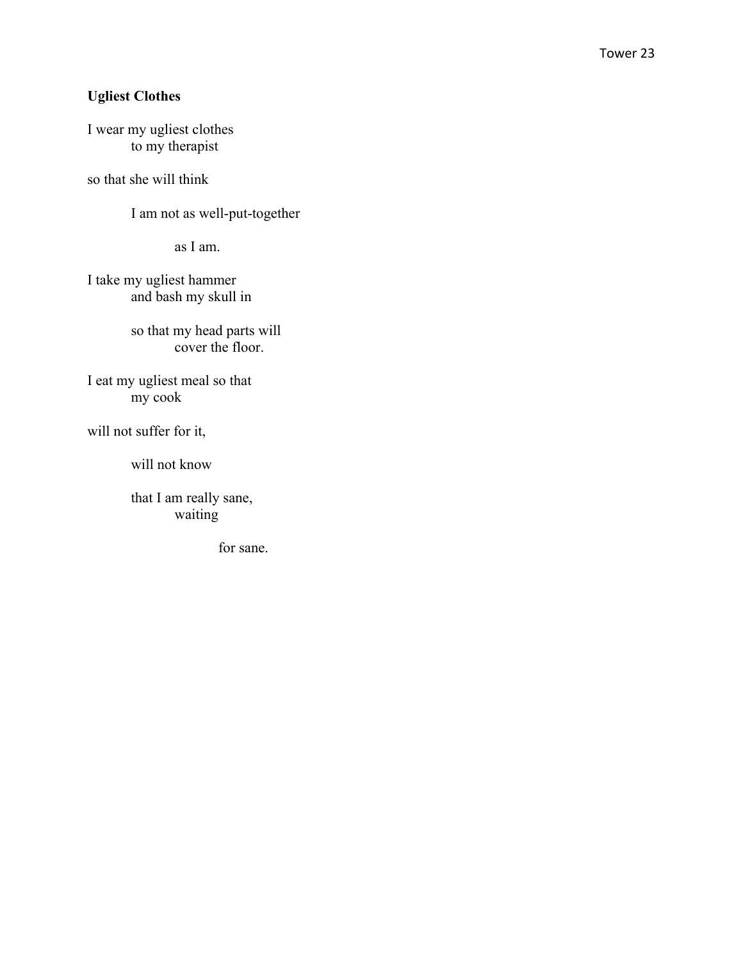## **Ugliest Clothes**

I wear my ugliest clothes to my therapist

so that she will think

I am not as well-put-together

as I am.

I take my ugliest hammer and bash my skull in

> so that my head parts will cover the floor.

I eat my ugliest meal so that my cook

will not suffer for it,

will not know

that I am really sane, waiting

for sane.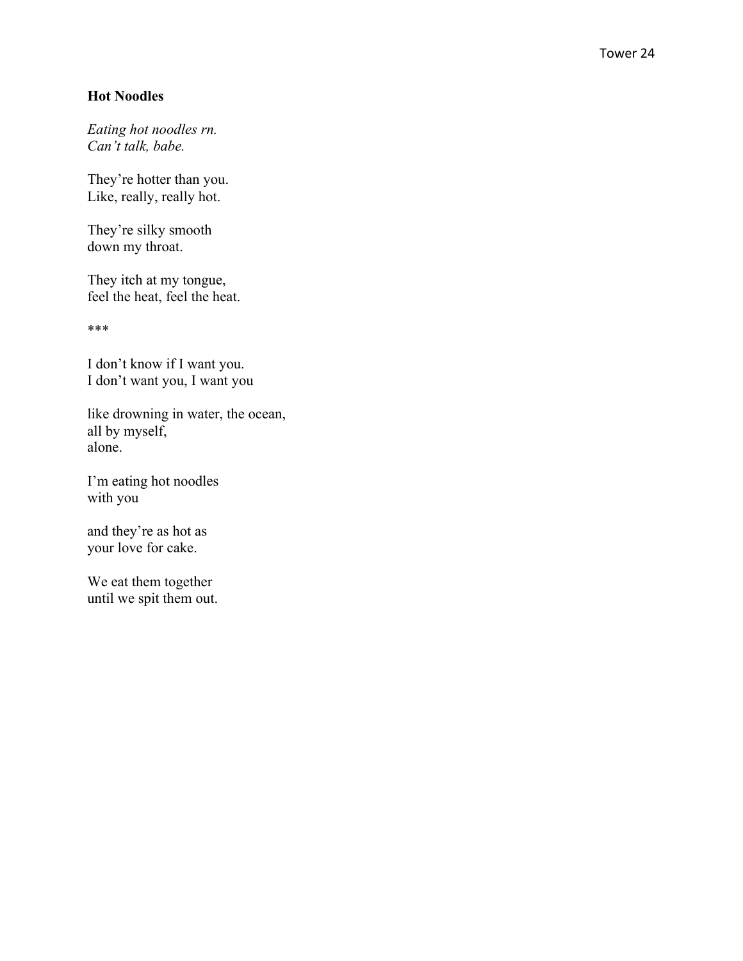## **Hot Noodles**

*Eating hot noodles rn. Can't talk, babe.*

They're hotter than you. Like, really, really hot.

They're silky smooth down my throat.

They itch at my tongue, feel the heat, feel the heat.

\*\*\*

I don't know if I want you. I don't want you, I want you

like drowning in water, the ocean, all by myself, alone.

I'm eating hot noodles with you

and they're as hot as your love for cake.

We eat them together until we spit them out.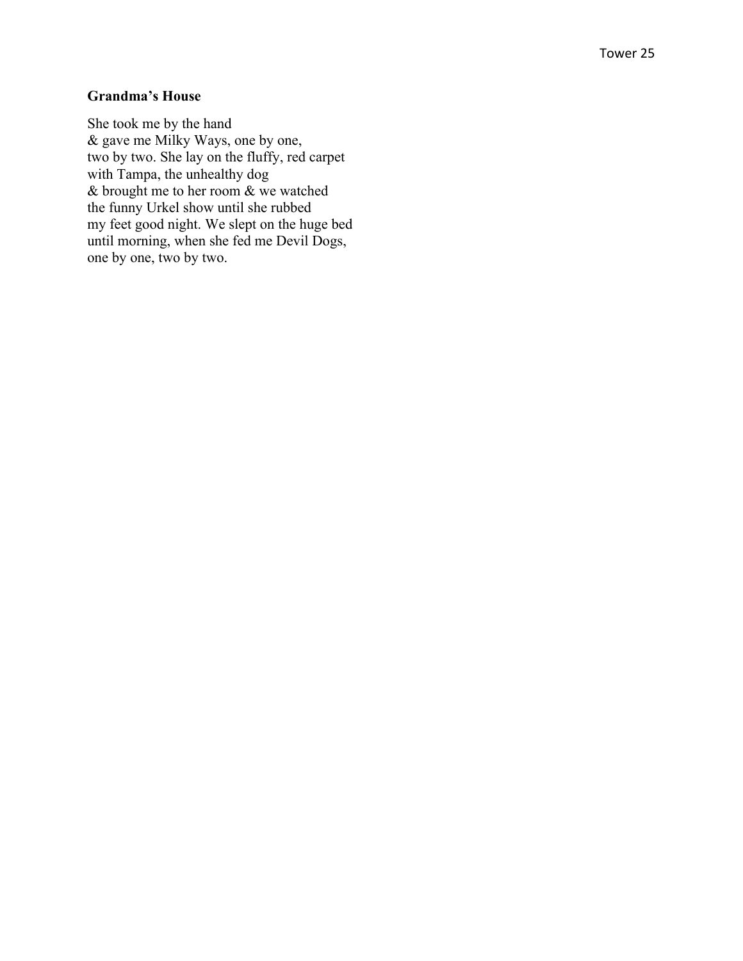#### Tower 25

### **Grandma's House**

She took me by the hand & gave me Milky Ways, one by one, two by two. She lay on the fluffy, red carpet with Tampa, the unhealthy dog & brought me to her room & we watched the funny Urkel show until she rubbed my feet good night. We slept on the huge bed until morning, when she fed me Devil Dogs, one by one, two by two.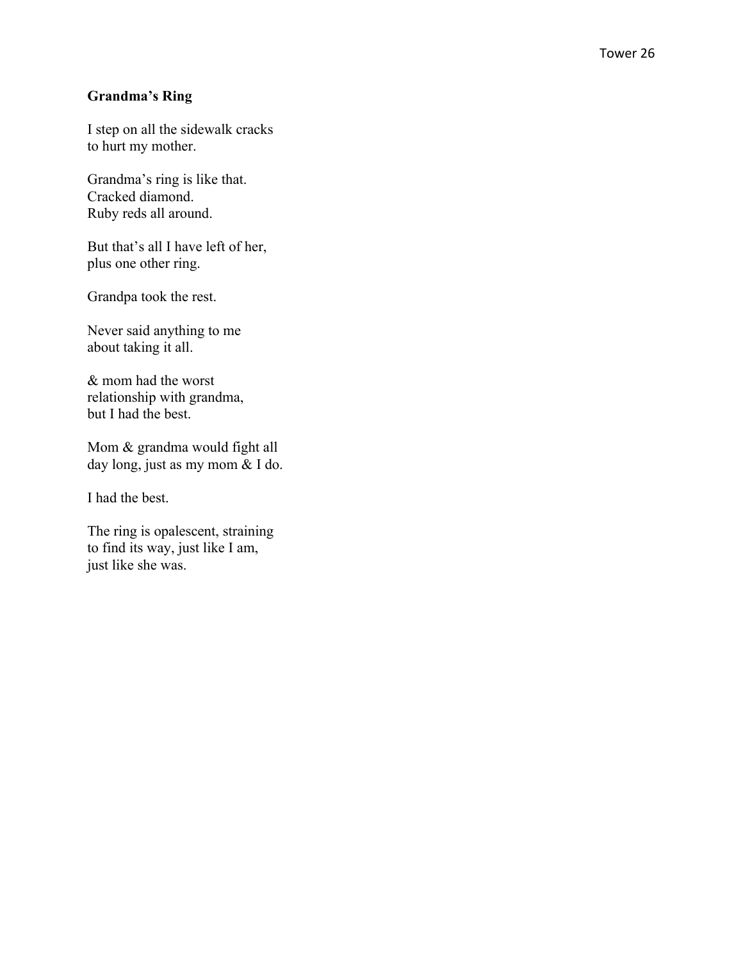## **Grandma's Ring**

I step on all the sidewalk cracks to hurt my mother.

Grandma's ring is like that. Cracked diamond. Ruby reds all around.

But that's all I have left of her, plus one other ring.

Grandpa took the rest.

Never said anything to me about taking it all.

& mom had the worst relationship with grandma, but I had the best.

Mom & grandma would fight all day long, just as my mom & I do.

I had the best.

The ring is opalescent, straining to find its way, just like I am, just like she was.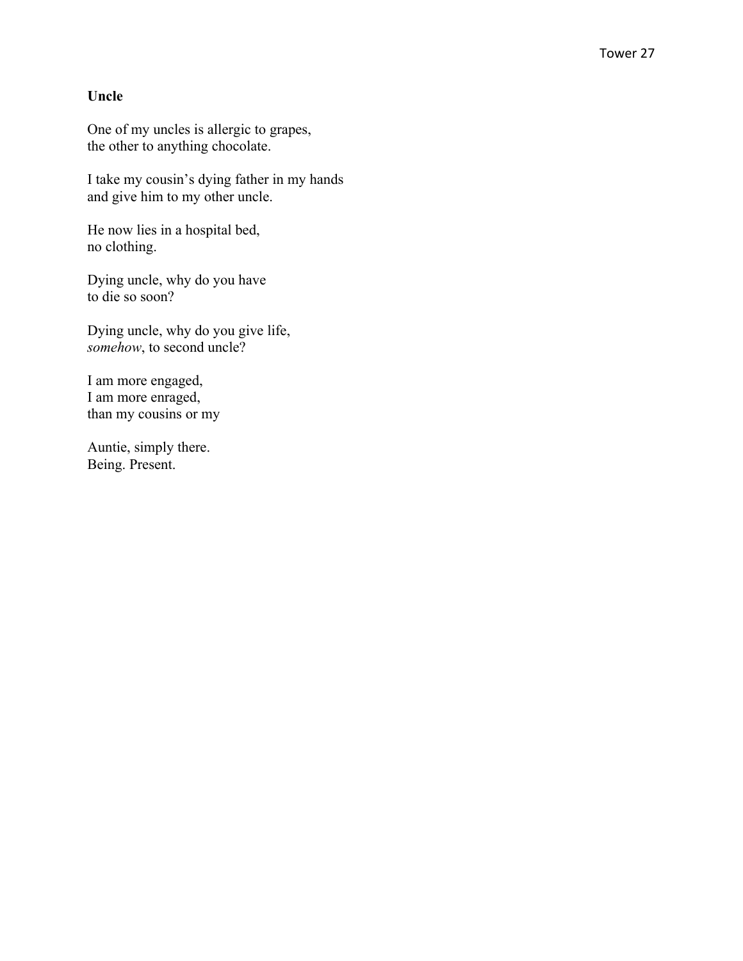#### **Uncle**

One of my uncles is allergic to grapes, the other to anything chocolate.

I take my cousin's dying father in my hands and give him to my other uncle.

He now lies in a hospital bed, no clothing.

Dying uncle, why do you have to die so soon?

Dying uncle, why do you give life, *somehow*, to second uncle?

I am more engaged, I am more enraged, than my cousins or my

Auntie, simply there. Being. Present.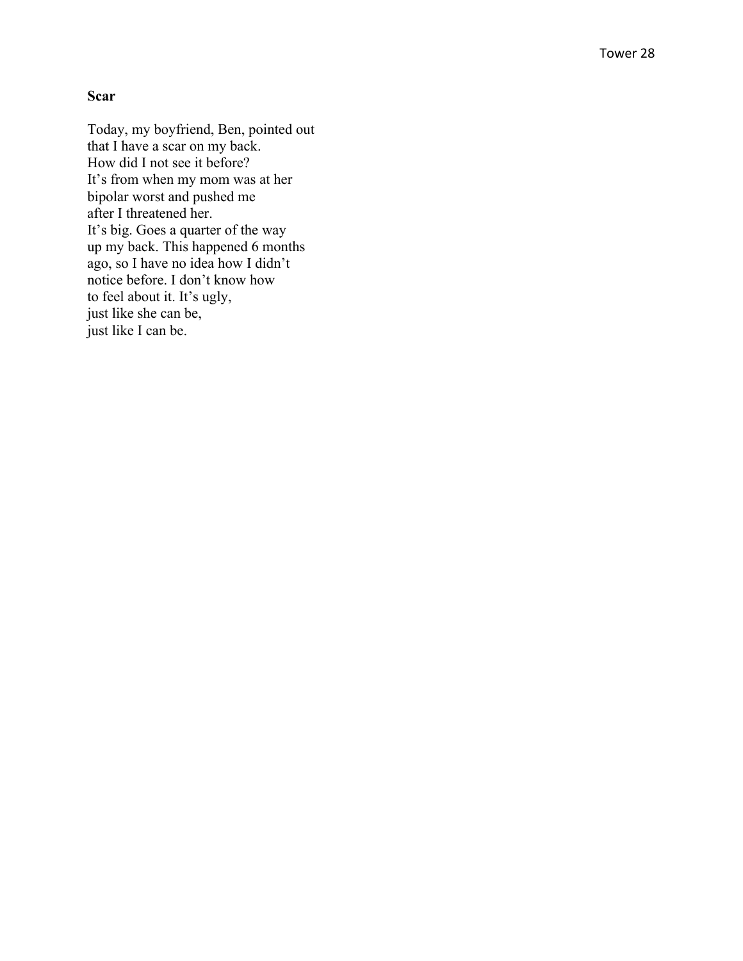#### **Scar**

Today, my boyfriend, Ben, pointed out that I have a scar on my back. How did I not see it before? It's from when my mom was at her bipolar worst and pushed me after I threatened her. It's big. Goes a quarter of the way up my back. This happened 6 months ago, so I have no idea how I didn't notice before. I don't know how to feel about it. It's ugly, just like she can be, just like I can be.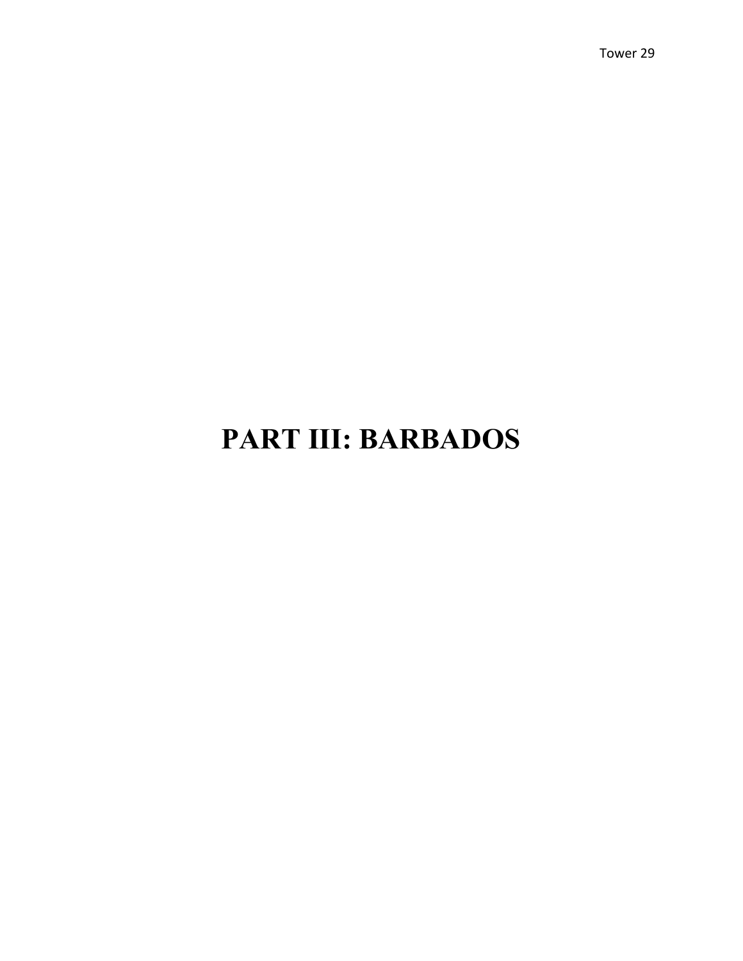## **PART III: BARBADOS**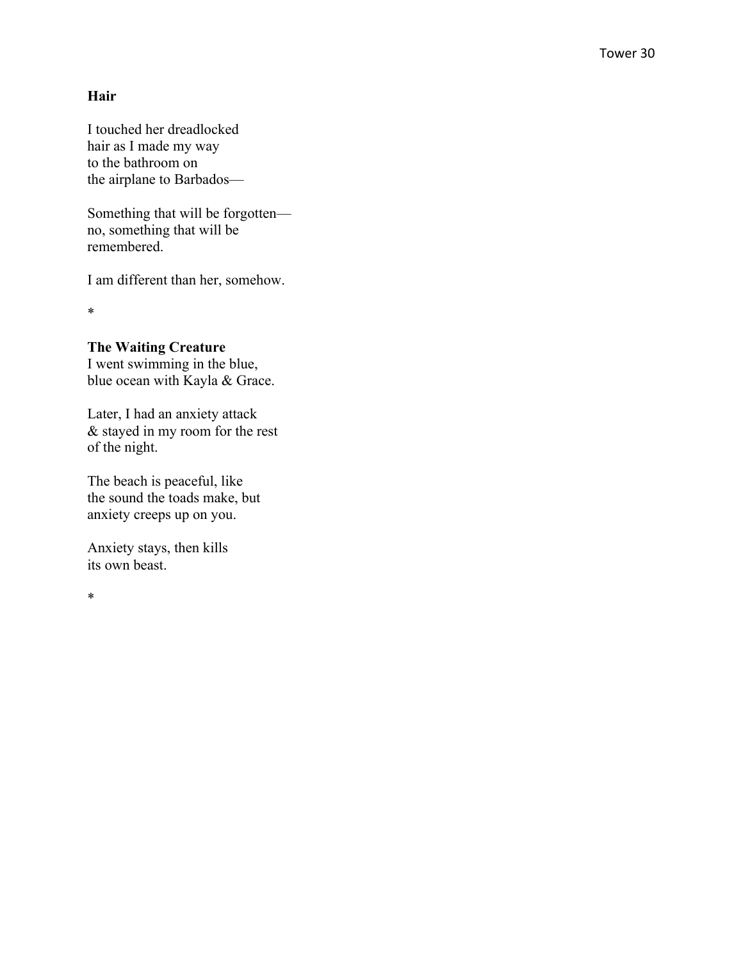#### **Hair**

I touched her dreadlocked hair as I made my way to the bathroom on the airplane to Barbados —

Something that will be forgotten no, something that will be remembered.

I am different than her, somehow.

\*

#### **The Waiting Creature**

I went swimming in the blue, blue ocean with Kayla & Grace.

Later, I had an anxiety attack & stayed in my room for the rest of the night.

The beach is peaceful, like the sound the toads make, but anxiety creeps up on you.

Anxiety stays, then kills its own beast.

\*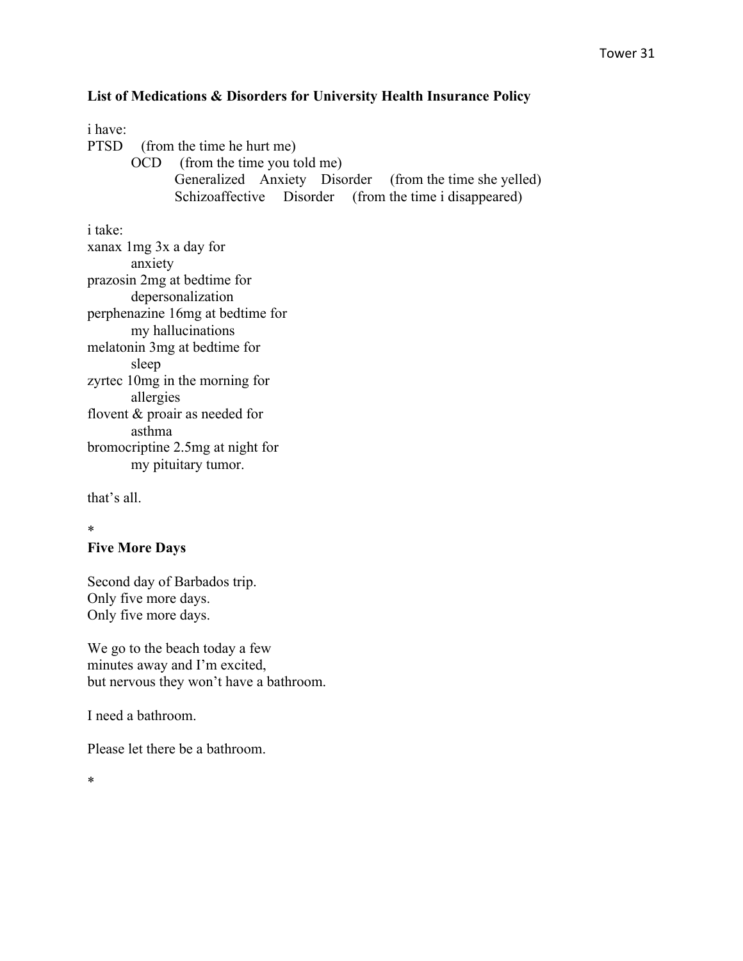## **List of Medications & Disorders for University Health Insurance Policy**

#### i have:

PTSD (from the time he hurt me)

OCD (from the time you told me) Generalized Anxiety Disorder (from the time she yelled) Schizoaffective Disorder (from the time i disappeared)

i take:

xanax 1mg 3x a day for anxiety prazosin 2mg at bedtime for depersonalization perphenazine 16mg at bedtime for my hallucinations melatonin 3mg at bedtime for sleep zyrtec 10mg in the morning for allergies flovent & proair as needed for asthma bromocriptine 2.5mg at night for my pituitary tumor.

that's all.

## \*

#### **Five More Days**

Second day of Barbados trip. Only five more days. Only five more days.

We go to the beach today a few minutes away and I'm excited, but nervous they won't have a bathroom.

I need a bathroom.

Please let there be a bathroom.

\*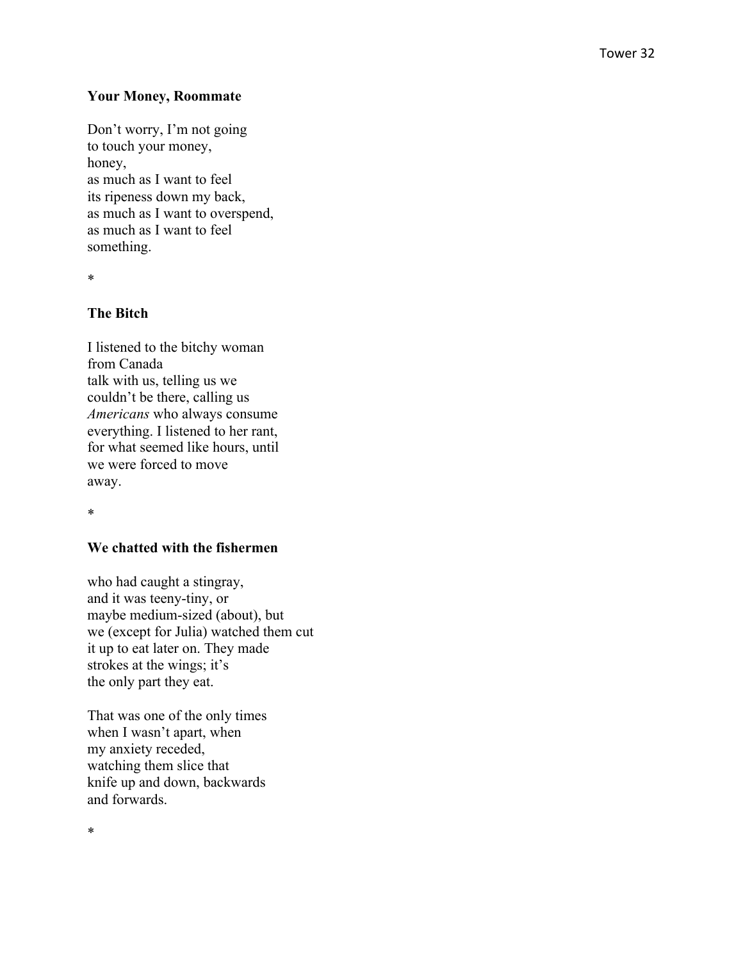#### **Your Money, Roommate**

Don't worry, I'm not going to touch your money, honey, as much as I want to feel its ripeness down my back, as much as I want to overspend, as much as I want to feel something.

\*

### **The Bitch**

I listened to the bitchy woman from Canada talk with us, telling us we couldn't be there, calling us *Americans* who always consume everything. I listened to her rant, for what seemed like hours, until we were forced to move away.

\*

#### **We chatted with the fishermen**

who had caught a stingray, and it was teeny -tiny, or maybe medium -sized (about), but we (except for Julia) watched them cut it up to eat later on. They made strokes at the wings; it's the only part they eat.

That was one of the only times when I wasn't apart, when my anxiety receded, watching them slice that knife up and down, backwards and forwards.

\*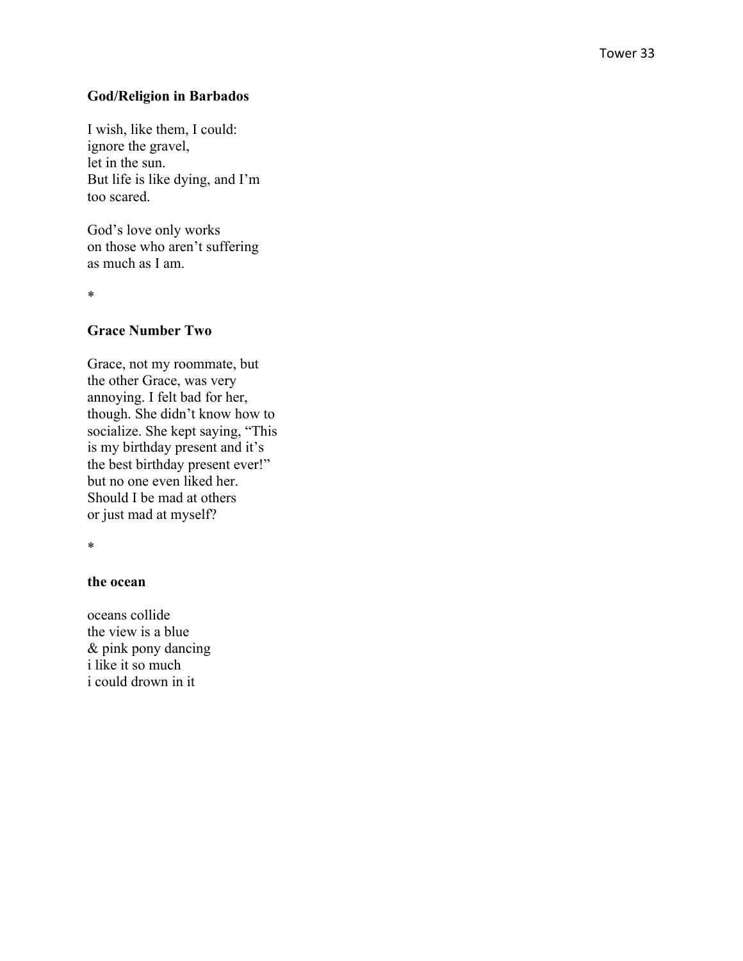#### **God/Religion in Barbados**

I wish, like them, I could: ignore the gravel, let in the sun. But life is like dying, and I'm too scared.

God's love only works on those who aren't suffering as much as I am.

\*

#### **Grace Number Two**

Grace, not my roommate, but the other Grace, was very annoying. I felt bad for her, though. She didn't know how to socialize. She kept saying, "This is my birthday present and it's the best birthday present ever!" but no one even liked her. Should I be mad at other s or just mad at myself?

\*

#### **the ocean**

oceans collide the view is a blue & pink pony dancing i like it so much i could drown in it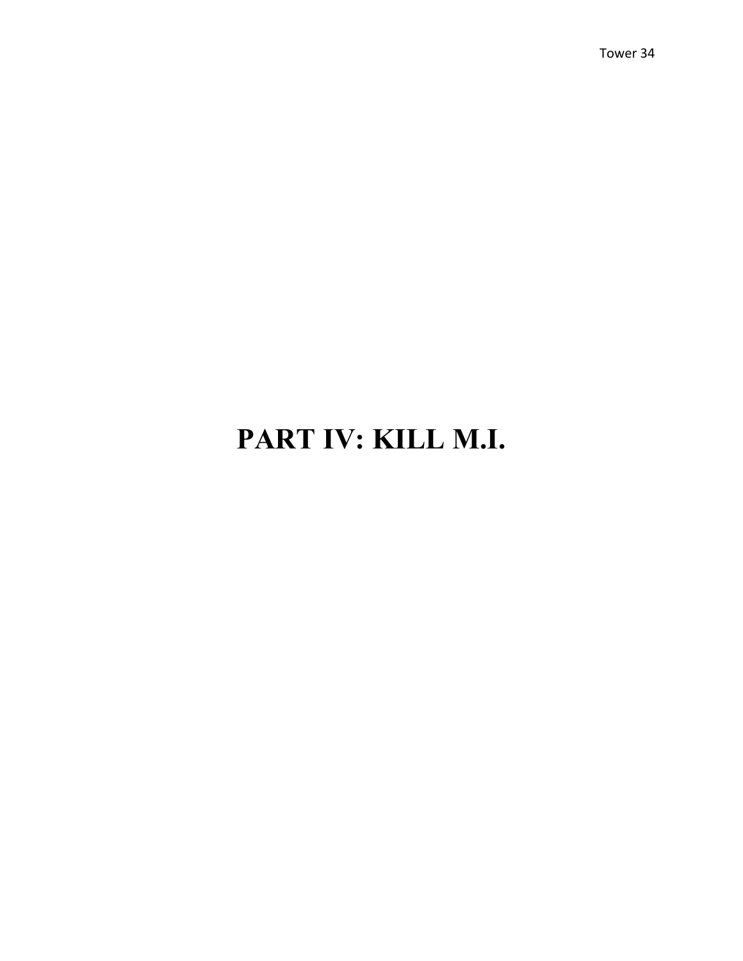## **PART IV: KILL M.I.**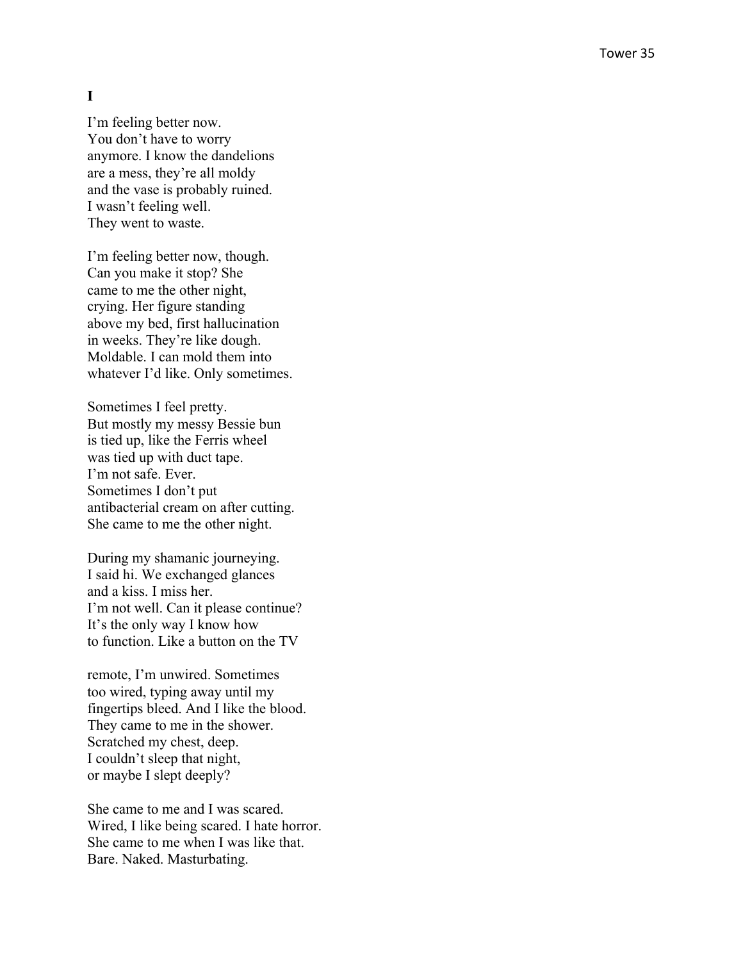#### **I**

I'm feeling better now. You don't have to worry anymore. I know the dandelions are a mess, they're all moldy and the vase is probably ruined. I wasn't feeling well. They went to waste.

I'm feeling better now, though. Can you make it stop? She came to me the other night, crying. Her figure standing above my bed, first hallucination in weeks. They're like dough. Moldable. I can mold them into whatever I'd like. Only sometimes.

Sometimes I feel pretty. But mostly my messy Bessie bun is tied up, like the Ferris wheel was tied up with duct tape. I'm not safe. Ever. Sometimes I don't put antibacterial cream on after cutting. She came to me the other night.

During my shamanic journeying. I said hi. We exchanged glances and a kiss. I miss her. I'm not well. Can it please continue? It's the only way I know how to function. Like a button on the TV

remote, I'm unwired. Sometimes too wired, typing away until my fingertips bleed. And I like the blood. They came to me in the shower. Scratched my chest, deep. I couldn't sleep that night, or maybe I slept deeply?

She came to me and I was scared. Wired, I like being scared. I hate horror. She came to me when I was like that. Bare. Naked. Masturbating.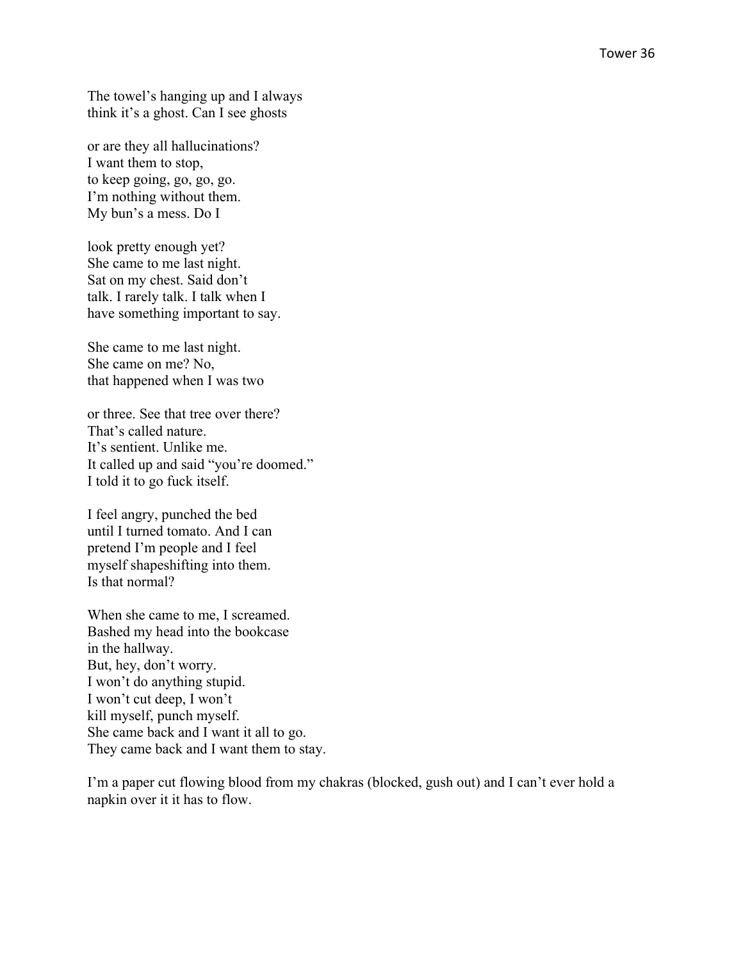The towel's hanging up and I always think it's a ghost. Can I see ghosts

or are they all hallucinations? I want them to stop, to keep going, go, go, go. I'm nothing without them. My bun's a mess. Do I

look pretty enough yet? She came to me last night. Sat on my chest. Said don't talk. I rarely talk. I talk when I have something important to say.

She came to me last night. She came on me? No, that happened when I was two

or three. See that tree over there? That's called nature. It's sentient. Unlike me. It called up and said "you're doomed." I told it to go fuck itself.

I feel angry, punched the bed until I turned tomato. And I can pretend I'm people and I feel myself shapeshifting into them. Is that normal?

When she came to me, I screamed. Bashed my head into the bookcase in the hallway. But, hey, don't worry. I won't do anything stupid. I won't cut deep, I won't kill myself, punch myself. She came back and I want it all to go. They came back and I want them to stay.

I'm a paper cut flowing blood from my chakras (blocked, gush out) and I can't ever hold a napkin over it it has to flow.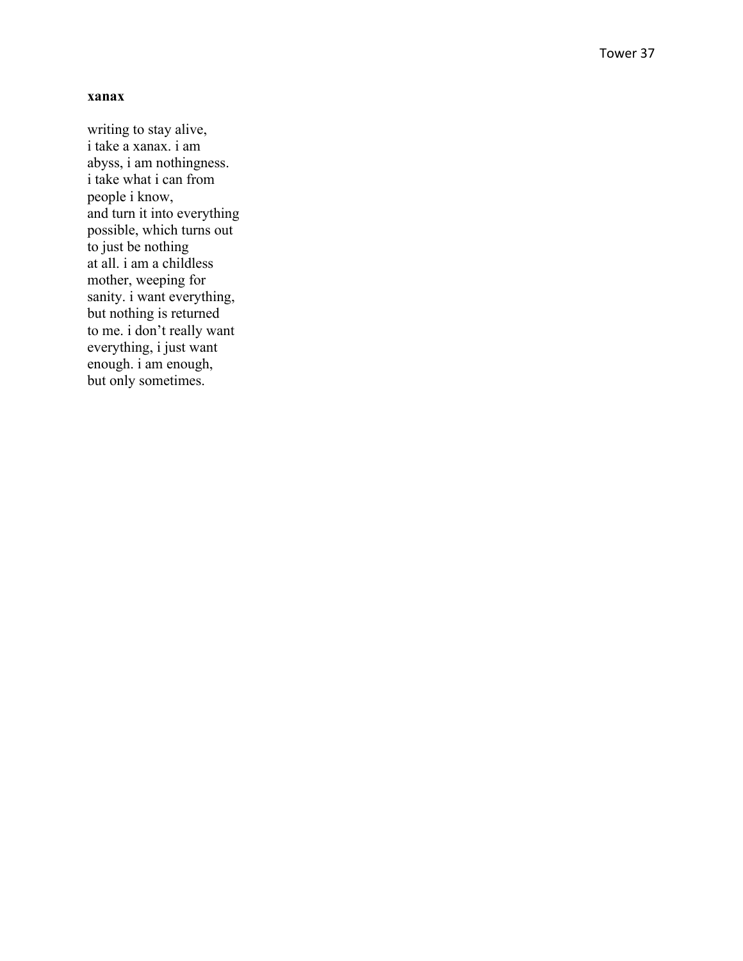#### **xanax**

writing to stay alive, i take a xanax. i am abyss, i am nothingness. i take what i can from people i know, and turn it into everything possible, which turns out to just be nothing at all. i am a childless mother, weeping for sanity. i want everything, but nothing is returned to me. i don't really want everything, i just want enough. i am enough, but only sometimes.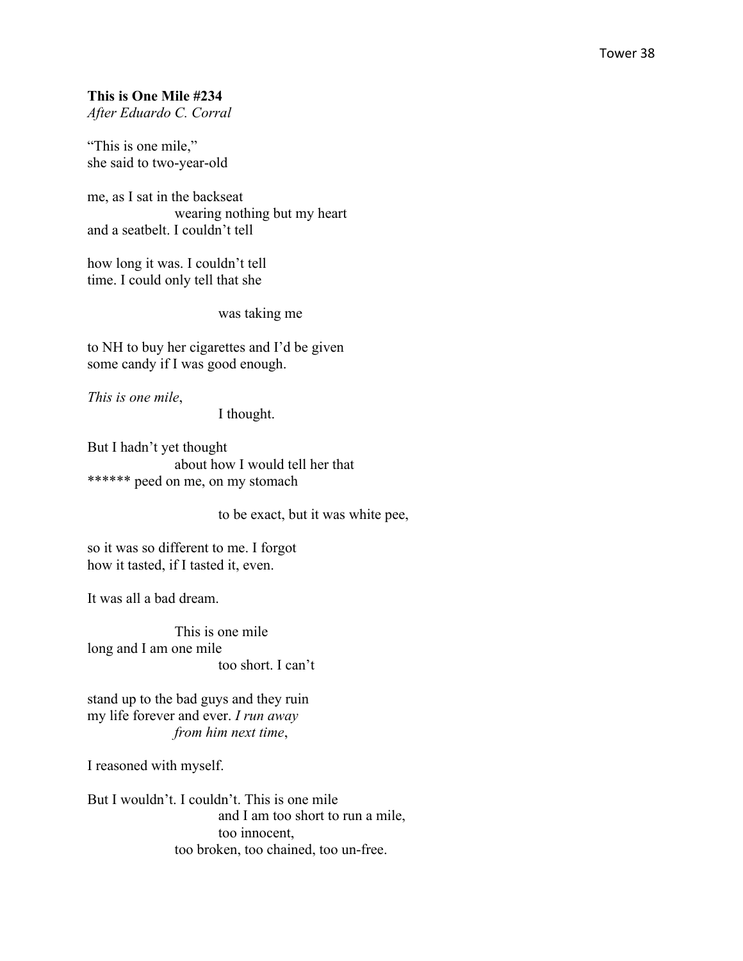#### **This is One Mile #234**

*After Eduardo C. Corral*

"This is one mile," she said to two-year-old

me, as I sat in the backseat wearing nothing but my heart and a seatbelt. I couldn't tell

how long it was. I couldn't tell time. I could only tell that she

was taking me

to NH to buy her cigarettes and I'd be given some candy if I was good enough.

*This is one mile*,

I thought.

But I hadn't yet thought about how I would tell her that \*\*\*\*\*\* peed on me, on my stomach

to be exact, but it was white pee,

so it was so different to me. I forgot how it tasted, if I tasted it, even.

It was all a bad dream.

This is one mile long and I am one mile too short. I can't

stand up to the bad guys and they ruin my life forever and ever. *I run away from him next time*,

I reasoned with myself.

But I wouldn't. I couldn't. This is one mile and I am too short to run a mile, too innocent, too broken, too chained, too un-free.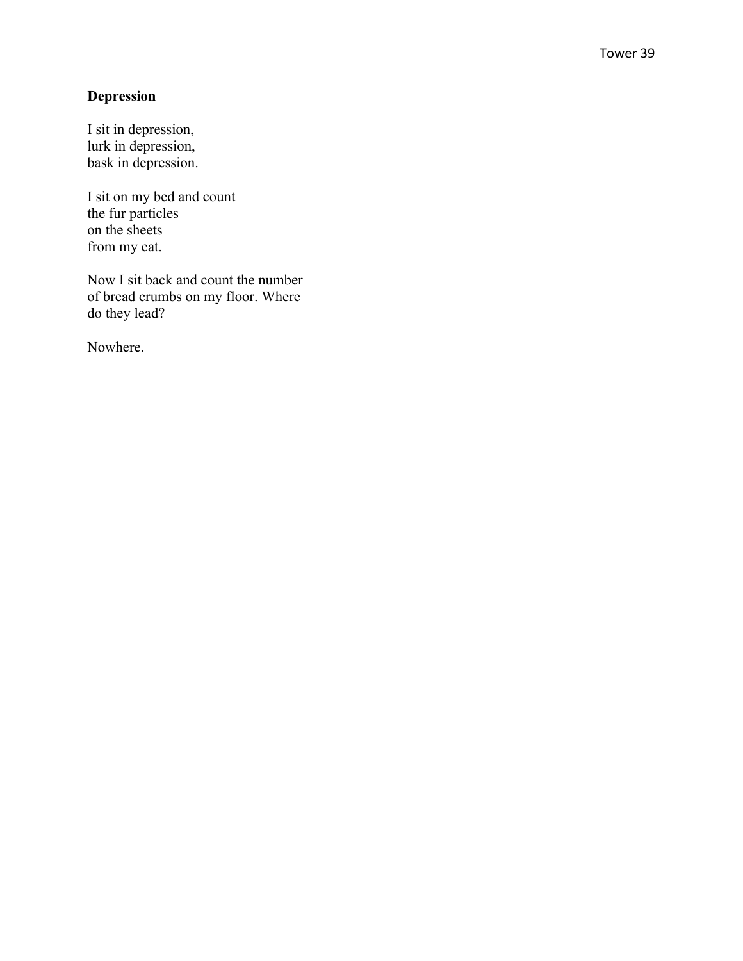## **Depression**

I sit in depression, lurk in depression, bask in depression.

I sit on my bed and count the fur particles on the sheets from my cat.

Now I sit back and count the number of bread crumbs on my floor. Where do they lead?

Nowhere.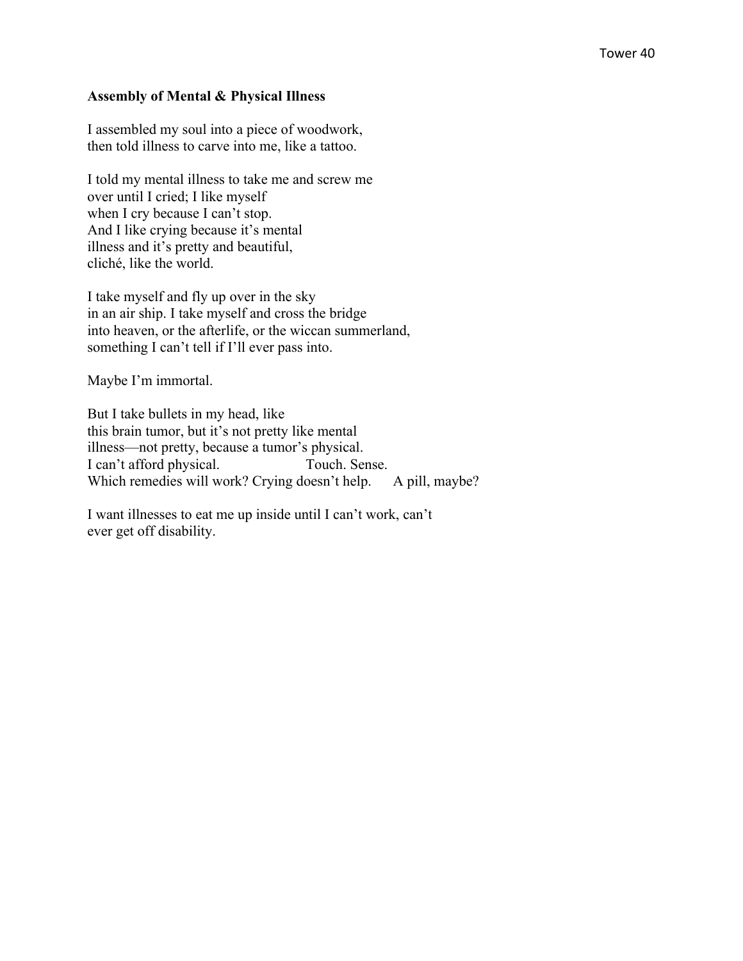#### **Assembly of Mental & Physical Illness**

I assembled my soul into a piece of woodwork, then told illness to carve into me, like a tattoo.

I told my mental illness to take me and screw me over until I cried; I like myself when I cry because I can't stop. And I like crying because it's mental illness and it's pretty and beautiful, cliché, like the world.

I take myself and fly up over in the sky in an air ship. I take myself and cross the bridge into heaven, or the afterlife, or the wiccan summerland, something I can't tell if I'll ever pass into.

Maybe I'm immortal.

But I take bullets in my head, like this brain tumor, but it's not pretty like mental illness—not pretty, because a tumor's physical. I can't afford physical. Touch. Sense. Which remedies will work? Crying doesn't help. A pill, maybe?

I want illnesses to eat me up inside until I can't work, can't ever get off disability.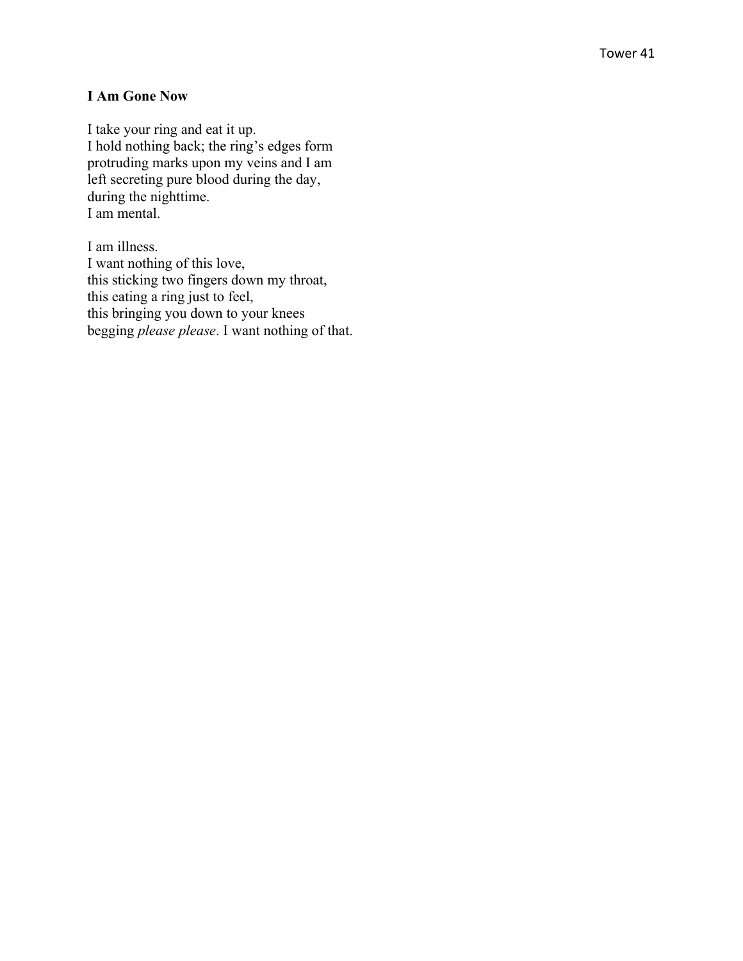#### **I Am Gone Now**

I take your ring and eat it up. I hold nothing back; the ring's edges form protruding marks upon my veins and I am left secreting pure blood during the day, during the nighttime. I am mental.

I am illness. I want nothing of this love, this sticking two fingers down my throat, this eating a ring just to feel, this bringing you down to your knees begging *please please*. I want nothing of that.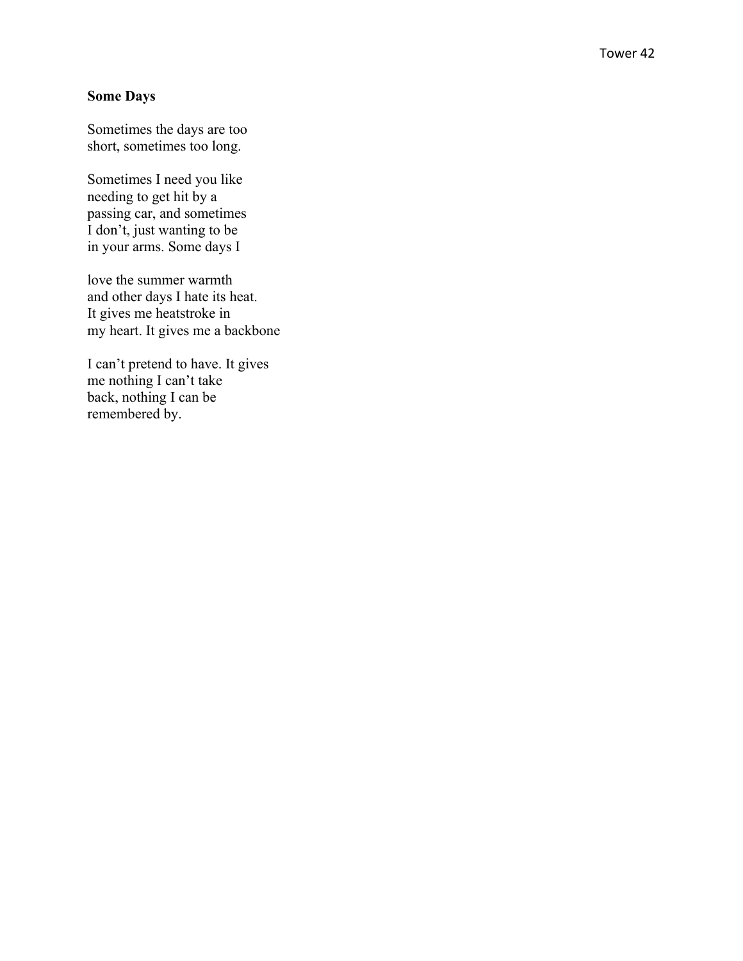## **Some Days**

Sometimes the days are too short, sometimes too long.

Sometimes I need you like needing to get hit by a passing car, and sometimes I don't, just wanting to be in your arms. Some days I

love the summer warmth and other days I hate its heat. It gives me heatstroke in my heart. It gives me a backbone

I can't pretend to have. It gives me nothing I can't take back, nothing I can be remembered by.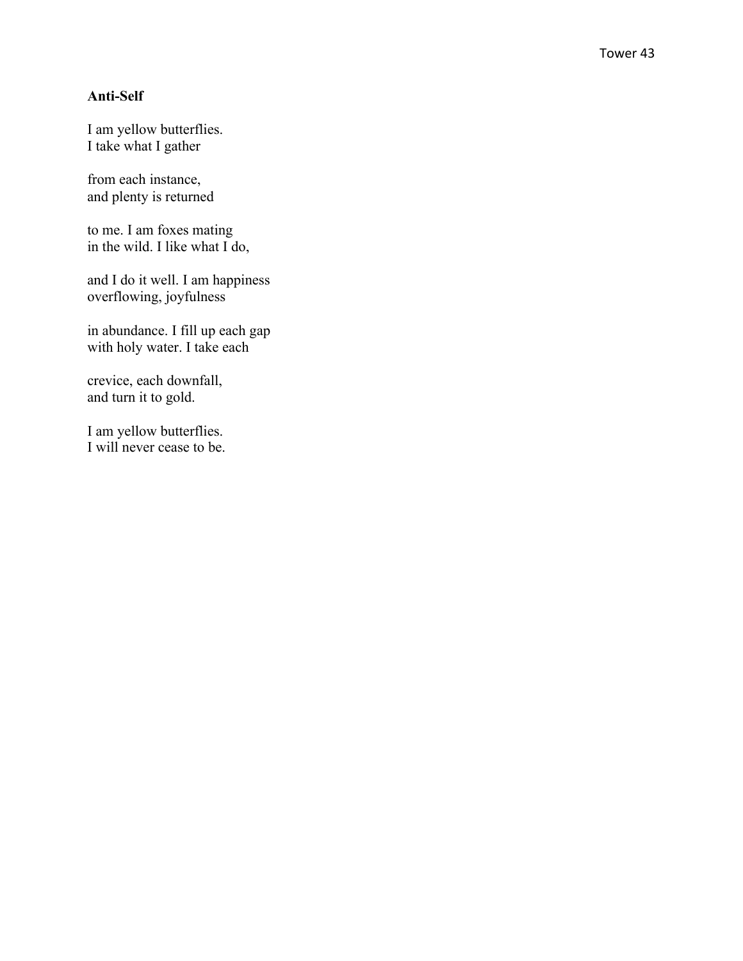#### **Anti -Self**

I am yellow butterflies. I take what I gather

from each instance, and plenty is returned

to me. I am foxes mating in the wild. I like what I do,

and I do it well. I am happiness overflowing, joyfulness

in abundance. I fill up each gap with holy water. I take each

crevice, each downfall, and turn it to gold.

I am yellow butterflies. I will never cease to be.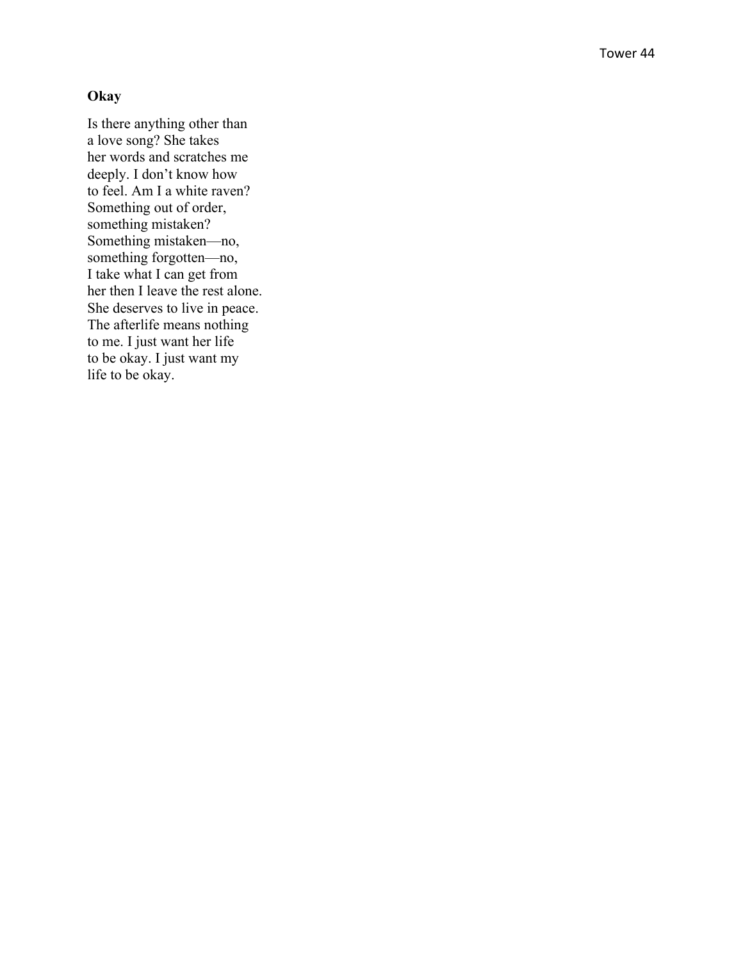#### **Okay**

Is there anything other than a love song? She takes her words and scratches me deeply. I don't know how to feel. Am I a white raven? Something out of order, something mistaken? Something mistaken—no, something forgotten—no, I take what I can get from her then I leave the rest alone. She deserves to live in peace. The afterlife means nothing to me. I just want her life to be okay. I just want my life to be okay.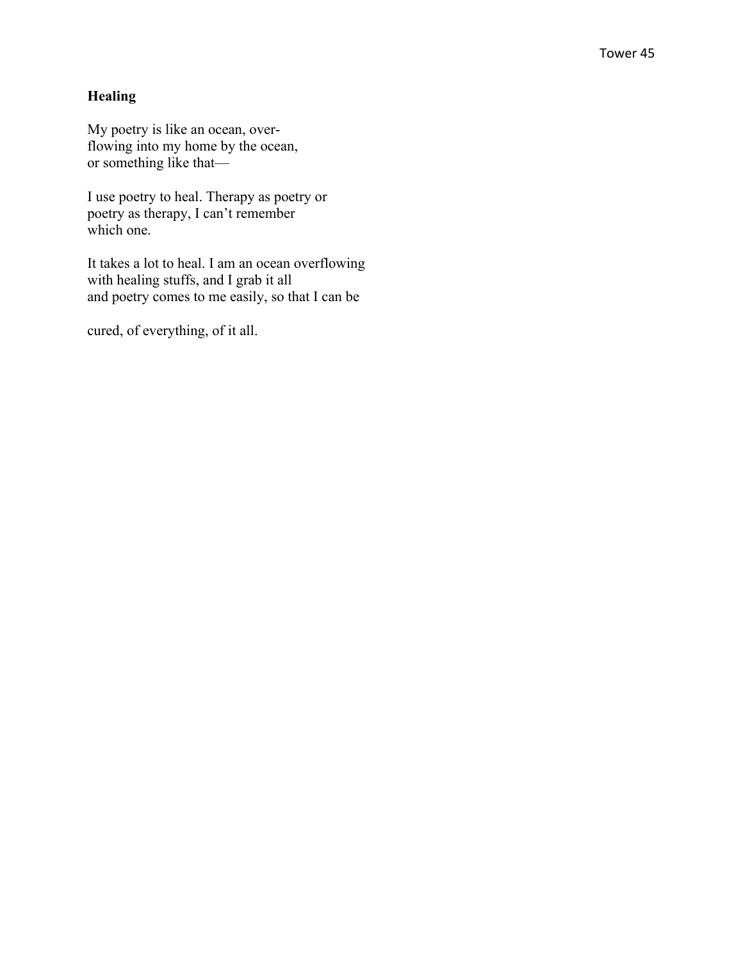## **Healing**

My poetry is like an ocean, overflowing into my home by the ocean, or something like that—

I use poetry to heal. Therapy as poetry or poetry as therapy, I can't remember which one.

It takes a lot to heal. I am an ocean overflowing with healing stuffs, and I grab it all and poetry comes to me easily, so that I can be

cured, of everything, of it all.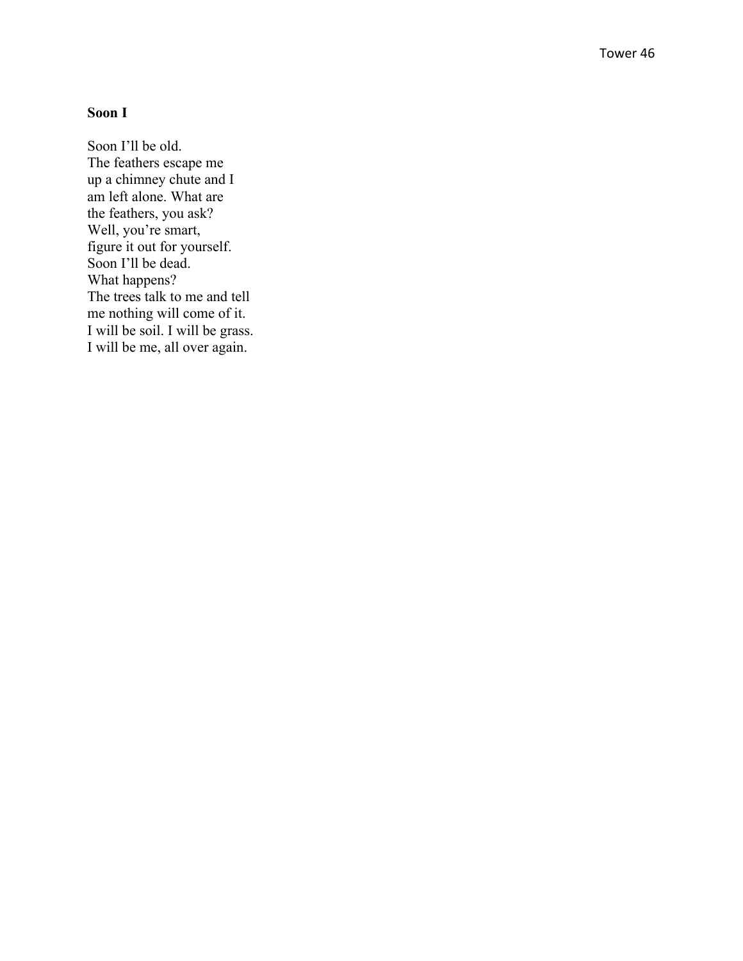### **Soon I**

Soon I'll be old. The feathers escape me up a chimney chute and I am left alone. What are the feathers, you ask? Well, you're smart, figure it out for yourself. Soon I'll be dead. What happens? The trees talk to me and tell me nothing will come of it. I will be soil. I will be grass. I will be me, all over again.